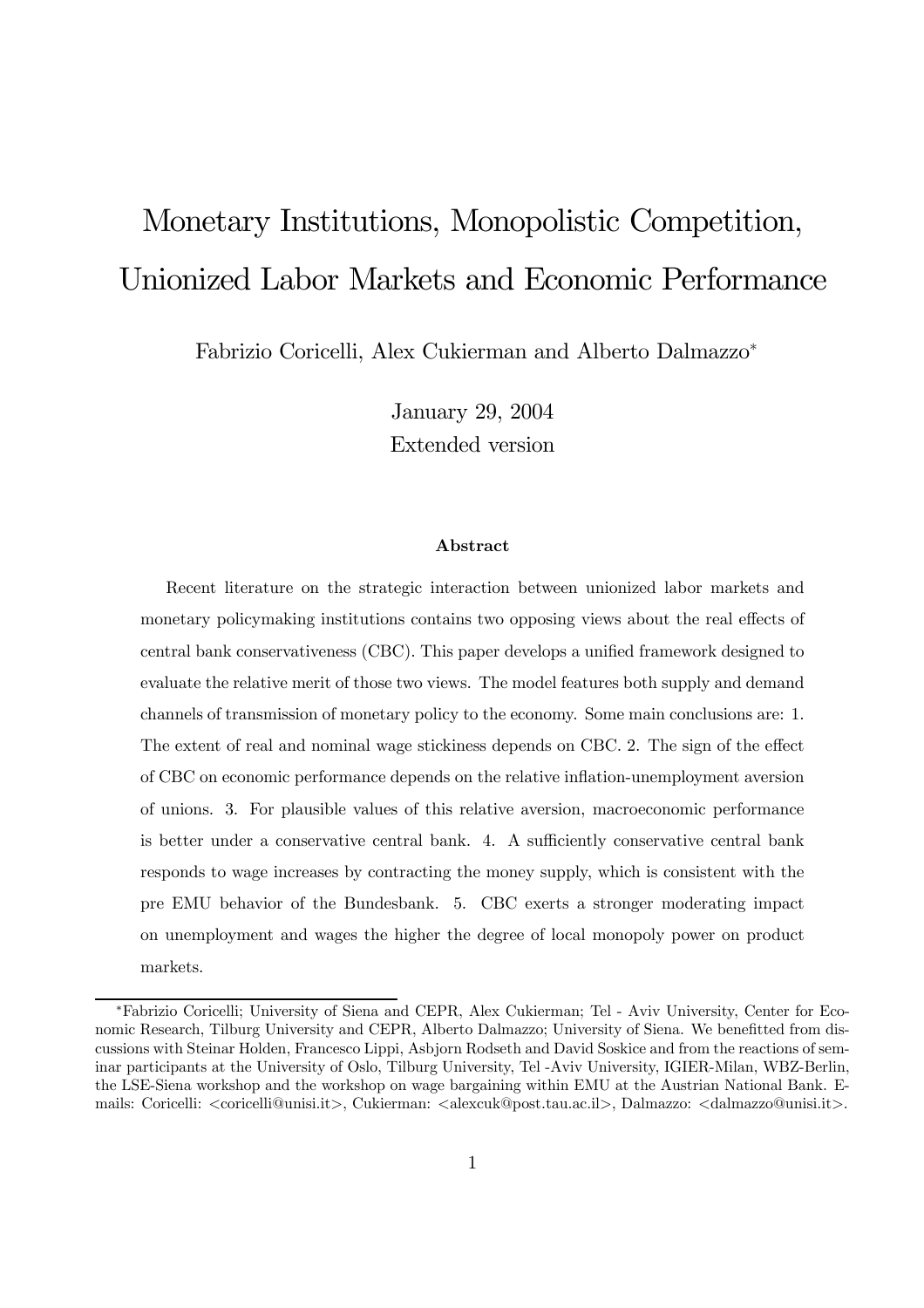# Monetary Institutions, Monopolistic Competition, Unionized Labor Markets and Economic Performance

Fabrizio Coricelli, Alex Cukierman and Alberto Dalmazzo<sup>∗</sup>

January 29, 2004 Extended version

#### Abstract

Recent literature on the strategic interaction between unionized labor markets and monetary policymaking institutions contains two opposing views about the real effects of central bank conservativeness (CBC). This paper develops a unified framework designed to evaluate the relative merit of those two views. The model features both supply and demand channels of transmission of monetary policy to the economy. Some main conclusions are: 1. The extent of real and nominal wage stickiness depends on CBC. 2. The sign of the effect of CBC on economic performance depends on the relative inflation-unemployment aversion of unions. 3. For plausible values of this relative aversion, macroeconomic performance is better under a conservative central bank. 4. A sufficiently conservative central bank responds to wage increases by contracting the money supply, which is consistent with the pre EMU behavior of the Bundesbank. 5. CBC exerts a stronger moderating impact on unemployment and wages the higher the degree of local monopoly power on product markets.

<sup>∗</sup>Fabrizio Coricelli; University of Siena and CEPR, Alex Cukierman; Tel - Aviv University, Center for Economic Research, Tilburg University and CEPR, Alberto Dalmazzo; University of Siena. We benefitted from discussions with Steinar Holden, Francesco Lippi, Asbjorn Rodseth and David Soskice and from the reactions of seminar participants at the University of Oslo, Tilburg University, Tel -Aviv University, IGIER-Milan, WBZ-Berlin, the LSE-Siena workshop and the workshop on wage bargaining within EMU at the Austrian National Bank. Emails: Coricelli: <coricelli@unisi.it>, Cukierman: <alexcuk@post.tau.ac.il>, Dalmazzo: <dalmazzo@unisi.it>.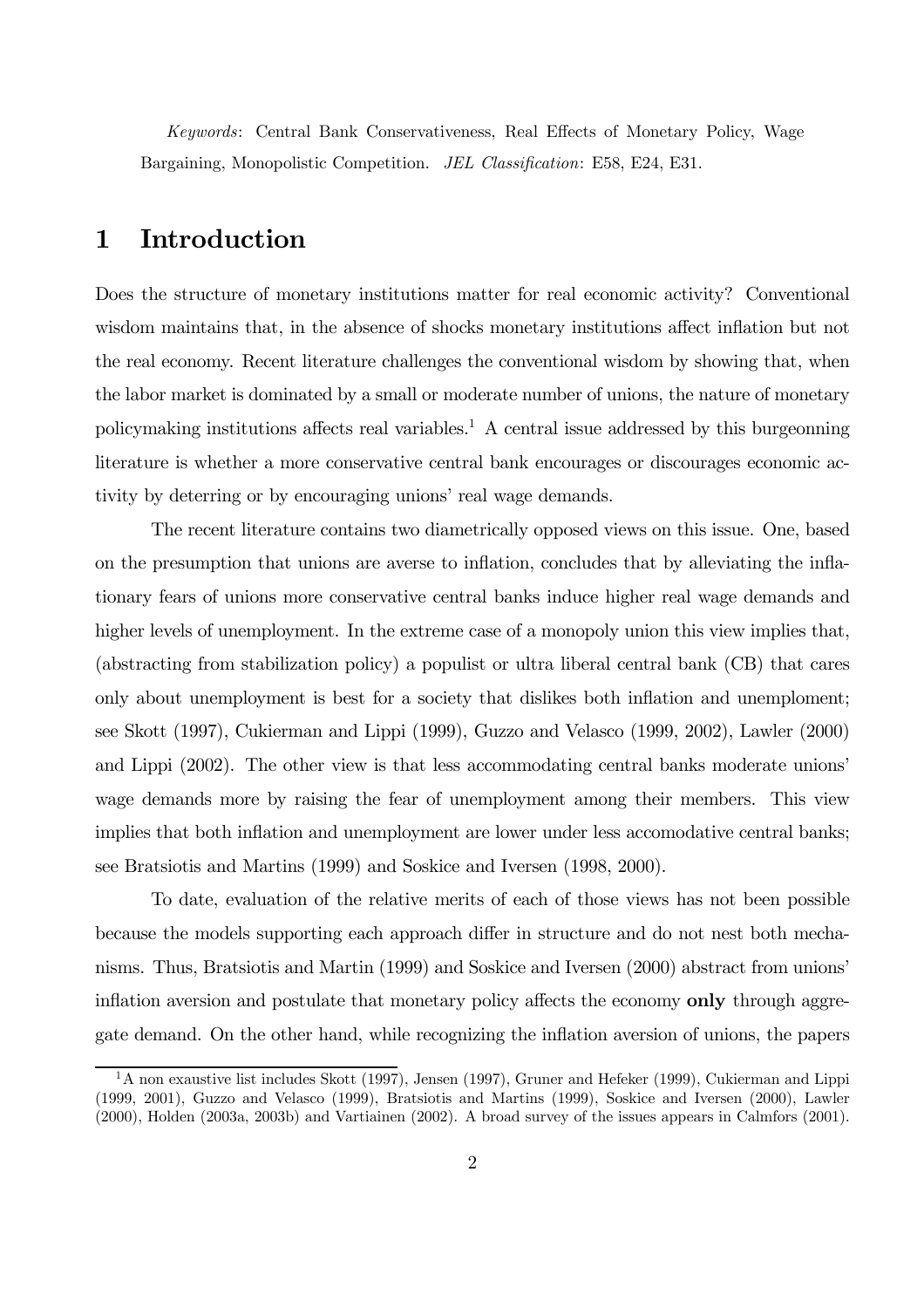Keywords: Central Bank Conservativeness, Real Effects of Monetary Policy, Wage Bargaining, Monopolistic Competition. JEL Classification: E58, E24, E31.

## 1 Introduction

Does the structure of monetary institutions matter for real economic activity? Conventional wisdom maintains that, in the absence of shocks monetary institutions affect inflation but not the real economy. Recent literature challenges the conventional wisdom by showing that, when the labor market is dominated by a small or moderate number of unions, the nature of monetary policymaking institutions affects real variables.<sup>1</sup> A central issue addressed by this burgeonning literature is whether a more conservative central bank encourages or discourages economic activity by deterring or by encouraging unions' real wage demands.

The recent literature contains two diametrically opposed views on this issue. One, based on the presumption that unions are averse to inflation, concludes that by alleviating the inflationary fears of unions more conservative central banks induce higher real wage demands and higher levels of unemployment. In the extreme case of a monopoly union this view implies that, (abstracting from stabilization policy) a populist or ultra liberal central bank (CB) that cares only about unemployment is best for a society that dislikes both inflation and unemploment; see Skott (1997), Cukierman and Lippi (1999), Guzzo and Velasco (1999, 2002), Lawler (2000) and Lippi (2002). The other view is that less accommodating central banks moderate unions' wage demands more by raising the fear of unemployment among their members. This view implies that both inflation and unemployment are lower under less accomodative central banks; see Bratsiotis and Martins (1999) and Soskice and Iversen (1998, 2000).

To date, evaluation of the relative merits of each of those views has not been possible because the models supporting each approach differ in structure and do not nest both mechanisms. Thus, Bratsiotis and Martin (1999) and Soskice and Iversen (2000) abstract from unions' inflation aversion and postulate that monetary policy affects the economy **only** through aggregate demand. On the other hand, while recognizing the inflation aversion of unions, the papers

<sup>&</sup>lt;sup>1</sup>A non exaustive list includes Skott (1997), Jensen (1997), Gruner and Hefeker (1999), Cukierman and Lippi (1999, 2001), Guzzo and Velasco (1999), Bratsiotis and Martins (1999), Soskice and Iversen (2000), Lawler (2000), Holden (2003a, 2003b) and Vartiainen (2002). A broad survey of the issues appears in Calmfors (2001).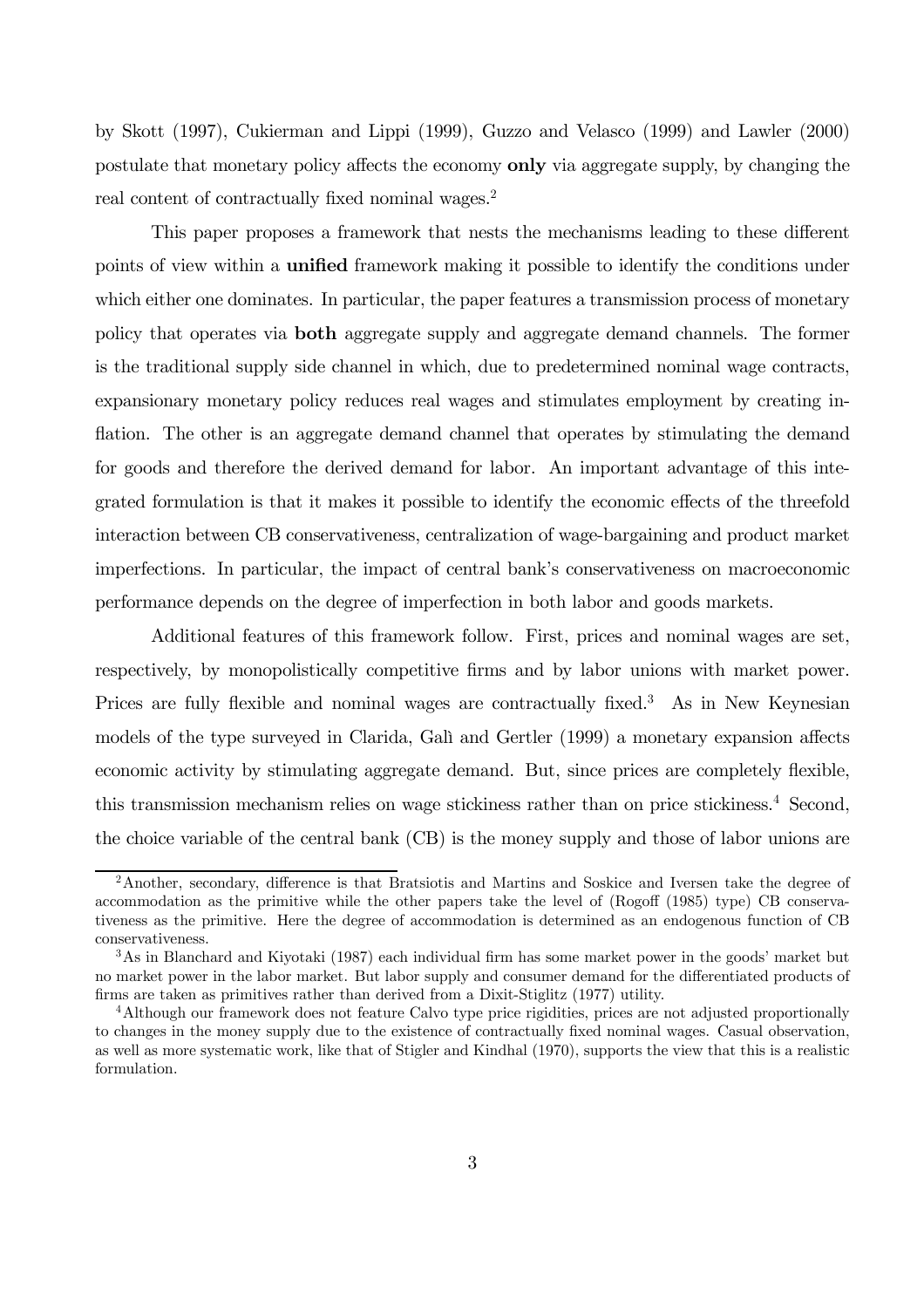by Skott (1997), Cukierman and Lippi (1999), Guzzo and Velasco (1999) and Lawler (2000) postulate that monetary policy affects the economy only via aggregate supply, by changing the real content of contractually fixed nominal wages.<sup>2</sup>

This paper proposes a framework that nests the mechanisms leading to these different points of view within a **unified** framework making it possible to identify the conditions under which either one dominates. In particular, the paper features a transmission process of monetary policy that operates via both aggregate supply and aggregate demand channels. The former is the traditional supply side channel in which, due to predetermined nominal wage contracts, expansionary monetary policy reduces real wages and stimulates employment by creating inflation. The other is an aggregate demand channel that operates by stimulating the demand for goods and therefore the derived demand for labor. An important advantage of this integrated formulation is that it makes it possible to identify the economic effects of the threefold interaction between CB conservativeness, centralization of wage-bargaining and product market imperfections. In particular, the impact of central bank's conservativeness on macroeconomic performance depends on the degree of imperfection in both labor and goods markets.

Additional features of this framework follow. First, prices and nominal wages are set, respectively, by monopolistically competitive firms and by labor unions with market power. Prices are fully flexible and nominal wages are contractually fixed.<sup>3</sup> As in New Keynesian models of the type surveyed in Clarida, Galì and Gertler (1999) a monetary expansion affects economic activity by stimulating aggregate demand. But, since prices are completely flexible, this transmission mechanism relies on wage stickiness rather than on price stickiness.<sup>4</sup> Second, the choice variable of the central bank (CB) is the money supply and those of labor unions are

<sup>2</sup>Another, secondary, difference is that Bratsiotis and Martins and Soskice and Iversen take the degree of accommodation as the primitive while the other papers take the level of (Rogoff (1985) type) CB conservativeness as the primitive. Here the degree of accommodation is determined as an endogenous function of CB conservativeness.

<sup>3</sup>As in Blanchard and Kiyotaki (1987) each individual firm has some market power in the goods' market but no market power in the labor market. But labor supply and consumer demand for the differentiated products of firms are taken as primitives rather than derived from a Dixit-Stiglitz (1977) utility.

<sup>4</sup>Although our framework does not feature Calvo type price rigidities, prices are not adjusted proportionally to changes in the money supply due to the existence of contractually fixed nominal wages. Casual observation, as well as more systematic work, like that of Stigler and Kindhal (1970), supports the view that this is a realistic formulation.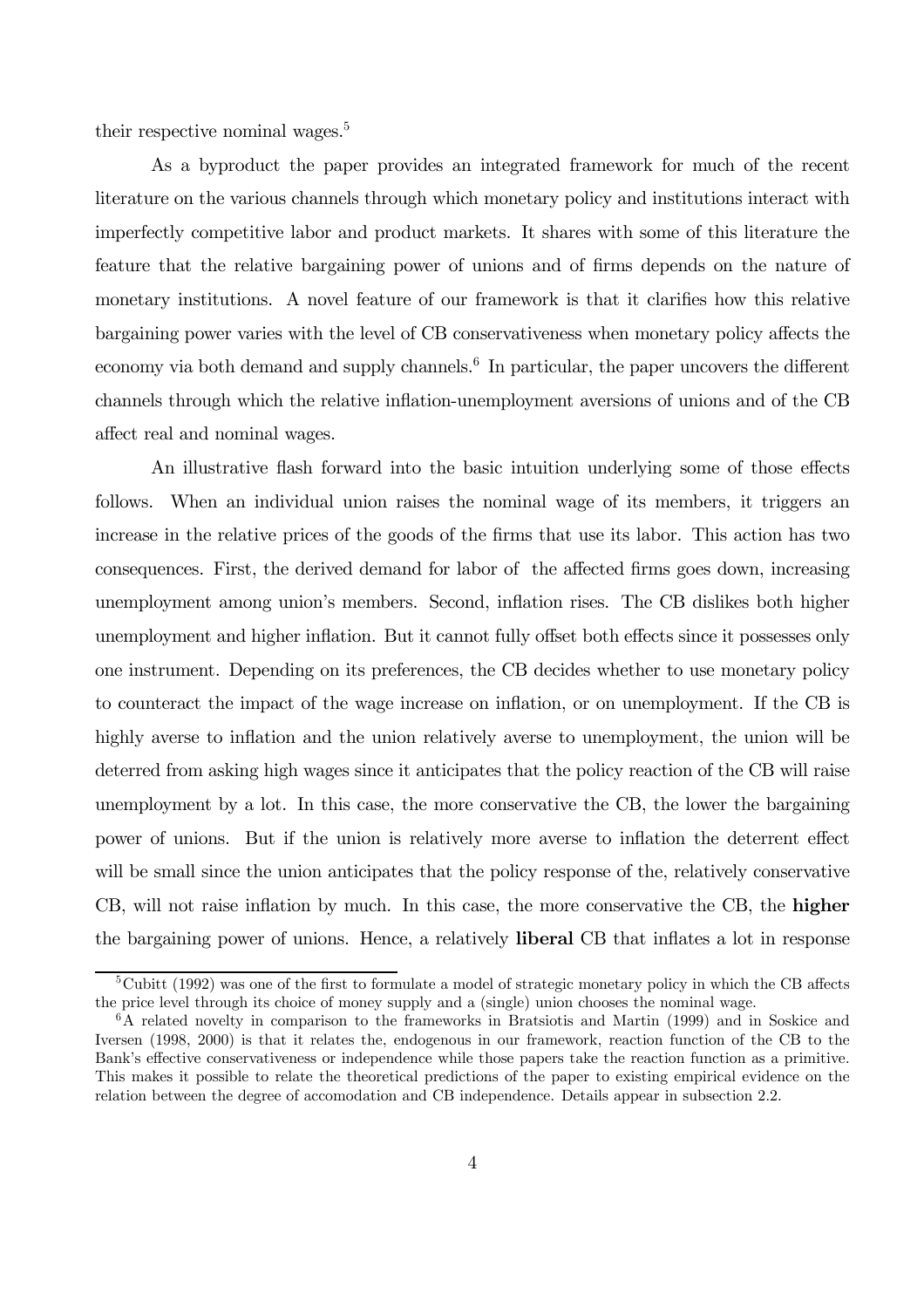their respective nominal wages.<sup>5</sup>

As a byproduct the paper provides an integrated framework for much of the recent literature on the various channels through which monetary policy and institutions interact with imperfectly competitive labor and product markets. It shares with some of this literature the feature that the relative bargaining power of unions and of firms depends on the nature of monetary institutions. A novel feature of our framework is that it clarifies how this relative bargaining power varies with the level of CB conservativeness when monetary policy affects the economy via both demand and supply channels.<sup>6</sup> In particular, the paper uncovers the different channels through which the relative inflation-unemployment aversions of unions and of the CB affect real and nominal wages.

An illustrative flash forward into the basic intuition underlying some of those effects follows. When an individual union raises the nominal wage of its members, it triggers an increase in the relative prices of the goods of the firms that use its labor. This action has two consequences. First, the derived demand for labor of the affected firms goes down, increasing unemployment among union's members. Second, inflation rises. The CB dislikes both higher unemployment and higher inflation. But it cannot fully offset both effects since it possesses only one instrument. Depending on its preferences, the CB decides whether to use monetary policy to counteract the impact of the wage increase on inflation, or on unemployment. If the CB is highly averse to inflation and the union relatively averse to unemployment, the union will be deterred from asking high wages since it anticipates that the policy reaction of the CB will raise unemployment by a lot. In this case, the more conservative the CB, the lower the bargaining power of unions. But if the union is relatively more averse to inflation the deterrent effect will be small since the union anticipates that the policy response of the, relatively conservative CB, will not raise inflation by much. In this case, the more conservative the CB, the higher the bargaining power of unions. Hence, a relatively liberal CB that inflates a lot in response

 $5Cubitt (1992)$  was one of the first to formulate a model of strategic monetary policy in which the CB affects the price level through its choice of money supply and a (single) union chooses the nominal wage.

<sup>6</sup>A related novelty in comparison to the frameworks in Bratsiotis and Martin (1999) and in Soskice and Iversen (1998, 2000) is that it relates the, endogenous in our framework, reaction function of the CB to the Bank's effective conservativeness or independence while those papers take the reaction function as a primitive. This makes it possible to relate the theoretical predictions of the paper to existing empirical evidence on the relation between the degree of accomodation and CB independence. Details appear in subsection 2.2.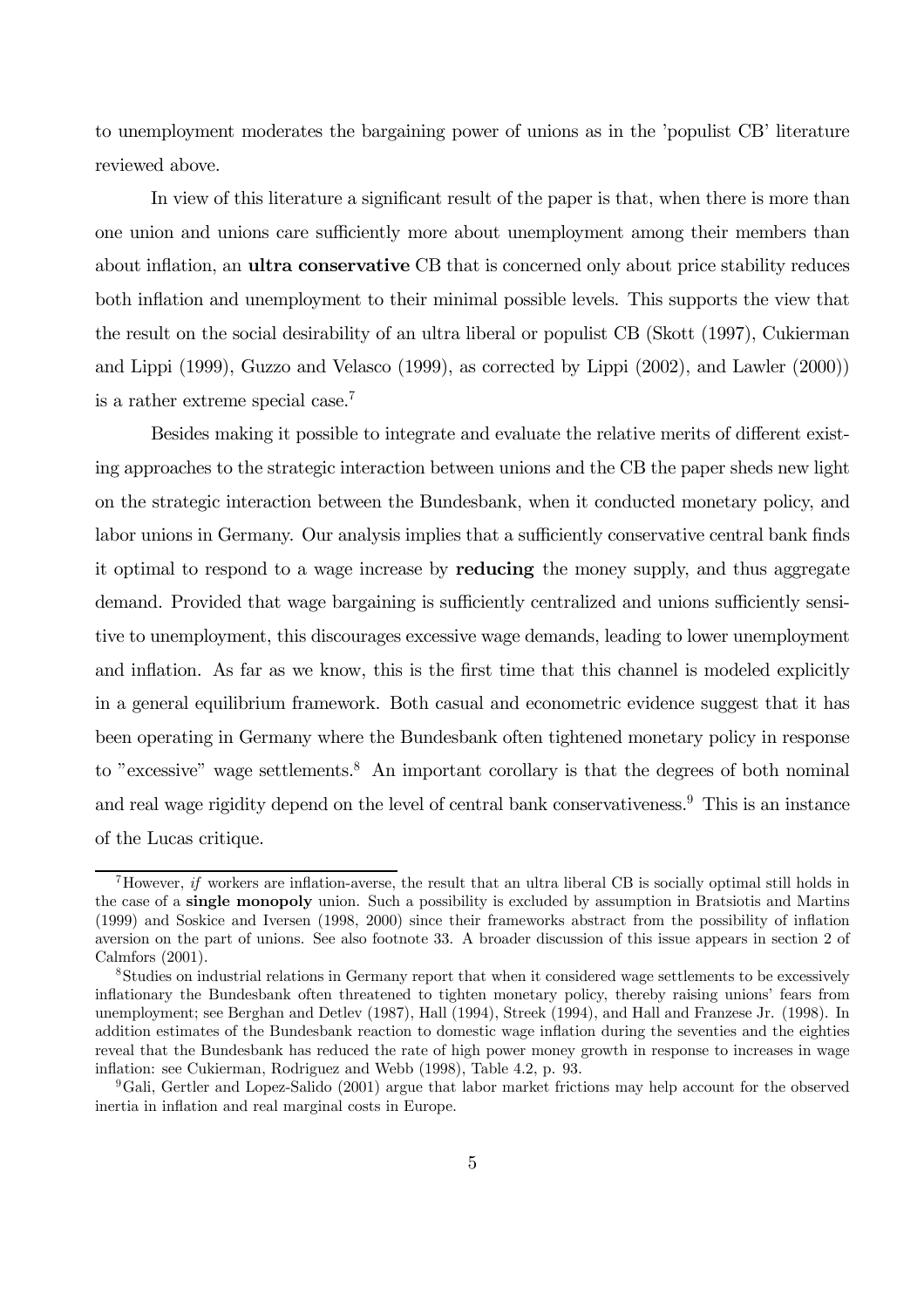to unemployment moderates the bargaining power of unions as in the 'populist CB' literature reviewed above.

In view of this literature a significant result of the paper is that, when there is more than one union and unions care sufficiently more about unemployment among their members than about inflation, an **ultra conservative** CB that is concerned only about price stability reduces both inflation and unemployment to their minimal possible levels. This supports the view that the result on the social desirability of an ultra liberal or populist CB (Skott (1997), Cukierman and Lippi (1999), Guzzo and Velasco (1999), as corrected by Lippi (2002), and Lawler (2000)) is a rather extreme special case.7

Besides making it possible to integrate and evaluate the relative merits of different existing approaches to the strategic interaction between unions and the CB the paper sheds new light on the strategic interaction between the Bundesbank, when it conducted monetary policy, and labor unions in Germany. Our analysis implies that a sufficiently conservative central bank finds it optimal to respond to a wage increase by **reducing** the money supply, and thus aggregate demand. Provided that wage bargaining is sufficiently centralized and unions sufficiently sensitive to unemployment, this discourages excessive wage demands, leading to lower unemployment and inflation. As far as we know, this is the first time that this channel is modeled explicitly in a general equilibrium framework. Both casual and econometric evidence suggest that it has been operating in Germany where the Bundesbank often tightened monetary policy in response to "excessive" wage settlements.<sup>8</sup> An important corollary is that the degrees of both nominal and real wage rigidity depend on the level of central bank conservativeness.<sup>9</sup> This is an instance of the Lucas critique.

Thowever, if workers are inflation-averse, the result that an ultra liberal CB is socially optimal still holds in the case of a single monopoly union. Such a possibility is excluded by assumption in Bratsiotis and Martins (1999) and Soskice and Iversen (1998, 2000) since their frameworks abstract from the possibility of inflation aversion on the part of unions. See also footnote 33. A broader discussion of this issue appears in section 2 of Calmfors (2001).

<sup>8</sup>Studies on industrial relations in Germany report that when it considered wage settlements to be excessively inflationary the Bundesbank often threatened to tighten monetary policy, thereby raising unions' fears from unemployment; see Berghan and Detlev (1987), Hall (1994), Streek (1994), and Hall and Franzese Jr. (1998). In addition estimates of the Bundesbank reaction to domestic wage inflation during the seventies and the eighties reveal that the Bundesbank has reduced the rate of high power money growth in response to increases in wage inflation: see Cukierman, Rodriguez and Webb (1998), Table 4.2, p. 93.

<sup>&</sup>lt;sup>9</sup>Gali, Gertler and Lopez-Salido (2001) argue that labor market frictions may help account for the observed inertia in inflation and real marginal costs in Europe.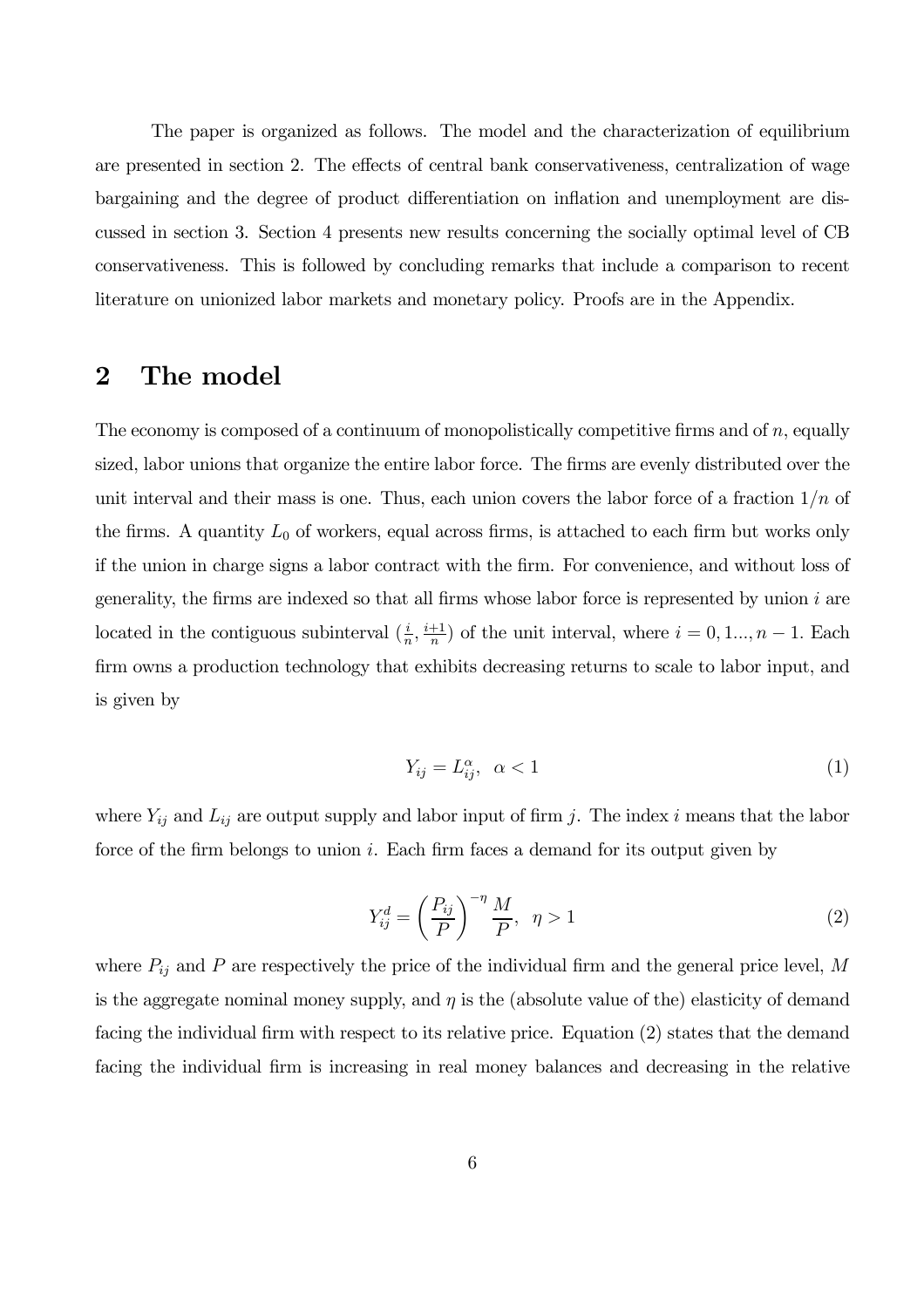The paper is organized as follows. The model and the characterization of equilibrium are presented in section 2. The effects of central bank conservativeness, centralization of wage bargaining and the degree of product differentiation on inflation and unemployment are discussed in section 3. Section 4 presents new results concerning the socially optimal level of CB conservativeness. This is followed by concluding remarks that include a comparison to recent literature on unionized labor markets and monetary policy. Proofs are in the Appendix.

# 2 The model

The economy is composed of a continuum of monopolistically competitive firms and of  $n$ , equally sized, labor unions that organize the entire labor force. The firms are evenly distributed over the unit interval and their mass is one. Thus, each union covers the labor force of a fraction  $1/n$  of the firms. A quantity  $L_0$  of workers, equal across firms, is attached to each firm but works only if the union in charge signs a labor contract with the firm. For convenience, and without loss of generality, the firms are indexed so that all firms whose labor force is represented by union  $i$  are located in the contiguous subinterval  $(\frac{i}{n}, \frac{i+1}{n})$  of the unit interval, where  $i = 0, 1, ..., n - 1$ . Each firm owns a production technology that exhibits decreasing returns to scale to labor input, and is given by

$$
Y_{ij} = L_{ij}^{\alpha}, \quad \alpha < 1 \tag{1}
$$

where  $Y_{ij}$  and  $L_{ij}$  are output supply and labor input of firm j. The index i means that the labor force of the firm belongs to union i. Each firm faces a demand for its output given by

$$
Y_{ij}^d = \left(\frac{P_{ij}}{P}\right)^{-\eta} \frac{M}{P}, \quad \eta > 1
$$
\n<sup>(2)</sup>

where  $P_{ij}$  and P are respectively the price of the individual firm and the general price level, M is the aggregate nominal money supply, and  $\eta$  is the (absolute value of the) elasticity of demand facing the individual firm with respect to its relative price. Equation (2) states that the demand facing the individual firm is increasing in real money balances and decreasing in the relative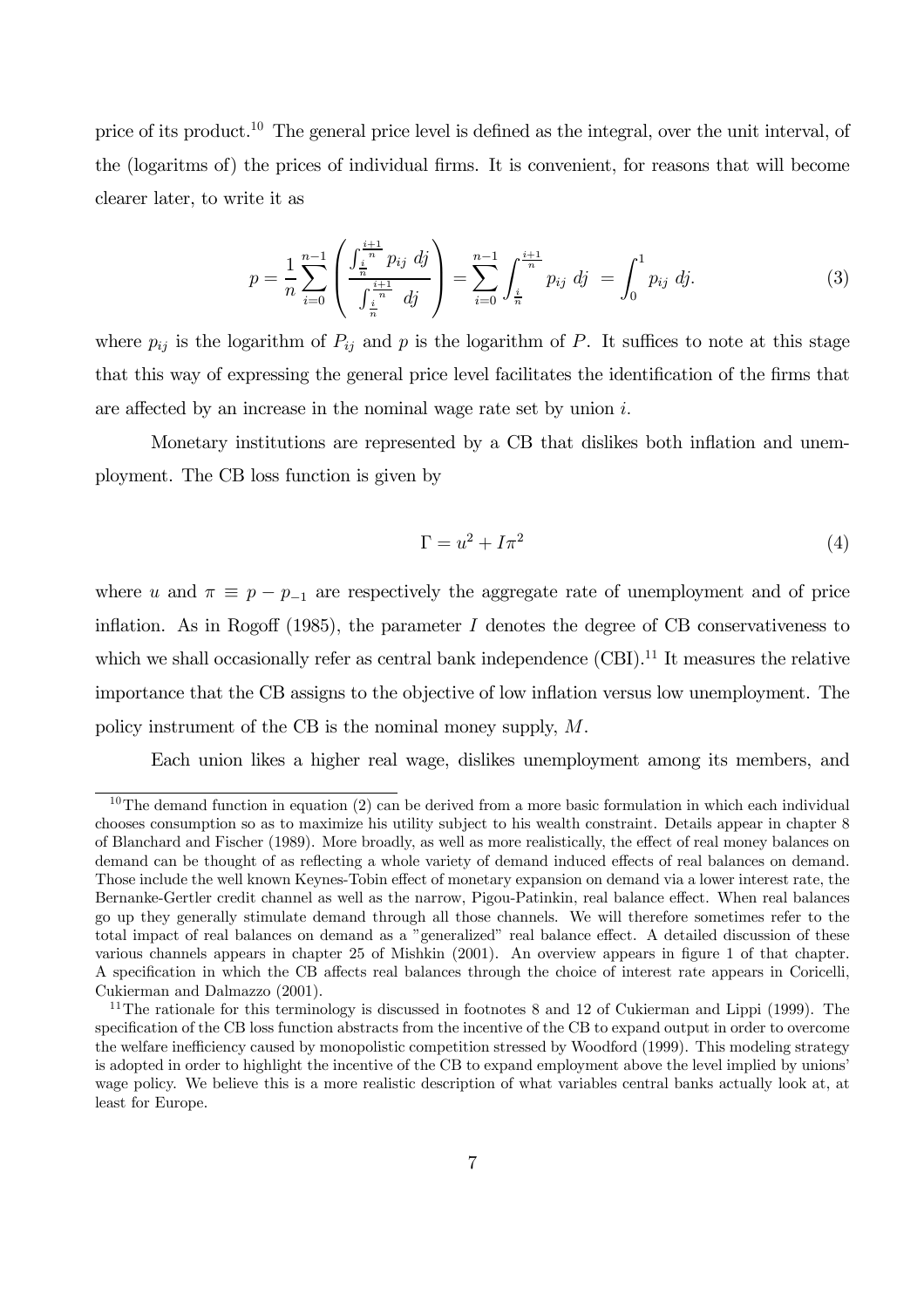price of its product.<sup>10</sup> The general price level is defined as the integral, over the unit interval, of the (logaritms of) the prices of individual firms. It is convenient, for reasons that will become clearer later, to write it as

$$
p = \frac{1}{n} \sum_{i=0}^{n-1} \left( \frac{\int_{\frac{i}{n}}^{\frac{i+1}{n}} p_{ij} \, dj}{\int_{\frac{i}{n}}^{\frac{i+1}{n}} dj} \right) = \sum_{i=0}^{n-1} \int_{\frac{i}{n}}^{\frac{i+1}{n}} p_{ij} \, dj = \int_{0}^{1} p_{ij} \, dj. \tag{3}
$$

where  $p_{ij}$  is the logarithm of  $P_{ij}$  and p is the logarithm of P. It suffices to note at this stage that this way of expressing the general price level facilitates the identification of the firms that are affected by an increase in the nominal wage rate set by union  $i$ .

Monetary institutions are represented by a CB that dislikes both inflation and unemployment. The CB loss function is given by

$$
\Gamma = u^2 + I\pi^2 \tag{4}
$$

where u and  $\pi \equiv p - p_{-1}$  are respectively the aggregate rate of unemployment and of price inflation. As in Rogoff (1985), the parameter  $I$  denotes the degree of CB conservativeness to which we shall occasionally refer as central bank independence  $(CBI)^{11}$  It measures the relative importance that the CB assigns to the objective of low inflation versus low unemployment. The policy instrument of the CB is the nominal money supply, M.

Each union likes a higher real wage, dislikes unemployment among its members, and

 $10$ The demand function in equation (2) can be derived from a more basic formulation in which each individual chooses consumption so as to maximize his utility subject to his wealth constraint. Details appear in chapter 8 of Blanchard and Fischer (1989). More broadly, as well as more realistically, the effect of real money balances on demand can be thought of as reflecting a whole variety of demand induced effects of real balances on demand. Those include the well known Keynes-Tobin effect of monetary expansion on demand via a lower interest rate, the Bernanke-Gertler credit channel as well as the narrow, Pigou-Patinkin, real balance effect. When real balances go up they generally stimulate demand through all those channels. We will therefore sometimes refer to the total impact of real balances on demand as a "generalized" real balance effect. A detailed discussion of these various channels appears in chapter 25 of Mishkin (2001). An overview appears in figure 1 of that chapter. A specification in which the CB affects real balances through the choice of interest rate appears in Coricelli, Cukierman and Dalmazzo (2001).

<sup>&</sup>lt;sup>11</sup>The rationale for this terminology is discussed in footnotes 8 and 12 of Cukierman and Lippi (1999). The specification of the CB loss function abstracts from the incentive of the CB to expand output in order to overcome the welfare inefficiency caused by monopolistic competition stressed by Woodford (1999). This modeling strategy is adopted in order to highlight the incentive of the CB to expand employment above the level implied by unions' wage policy. We believe this is a more realistic description of what variables central banks actually look at, at least for Europe.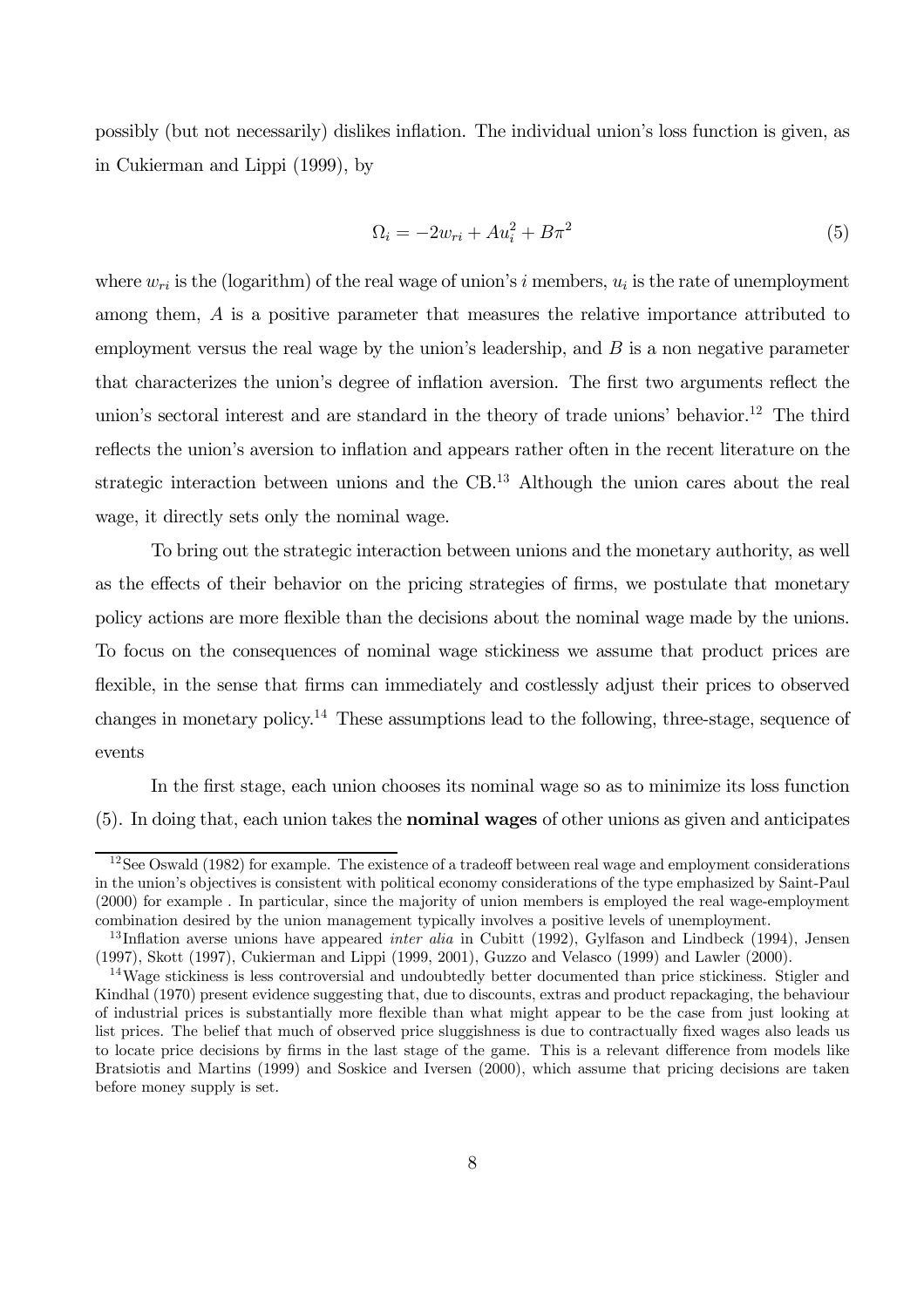possibly (but not necessarily) dislikes inflation. The individual union's loss function is given, as in Cukierman and Lippi (1999), by

$$
\Omega_i = -2w_{ri} + Au_i^2 + B\pi^2\tag{5}
$$

where  $w_{ri}$  is the (logarithm) of the real wage of union's i members,  $u_i$  is the rate of unemployment among them, A is a positive parameter that measures the relative importance attributed to employment versus the real wage by the union's leadership, and  $B$  is a non negative parameter that characterizes the union's degree of inflation aversion. The first two arguments reflect the union's sectoral interest and are standard in the theory of trade unions' behavior.<sup>12</sup> The third reflects the union's aversion to inflation and appears rather often in the recent literature on the strategic interaction between unions and the  $CB<sup>13</sup>$  Although the union cares about the real wage, it directly sets only the nominal wage.

To bring out the strategic interaction between unions and the monetary authority, as well as the effects of their behavior on the pricing strategies of firms, we postulate that monetary policy actions are more flexible than the decisions about the nominal wage made by the unions. To focus on the consequences of nominal wage stickiness we assume that product prices are flexible, in the sense that firms can immediately and costlessly adjust their prices to observed changes in monetary policy.<sup>14</sup> These assumptions lead to the following, three-stage, sequence of events

In the first stage, each union chooses its nominal wage so as to minimize its loss function (5). In doing that, each union takes the nominal wages of other unions as given and anticipates

 $12$ See Oswald (1982) for example. The existence of a tradeoff between real wage and employment considerations in the union's objectives is consistent with political economy considerations of the type emphasized by Saint-Paul (2000) for example . In particular, since the majority of union members is employed the real wage-employment combination desired by the union management typically involves a positive levels of unemployment.

<sup>&</sup>lt;sup>13</sup>Inflation averse unions have appeared *inter alia* in Cubitt (1992), Gylfason and Lindbeck (1994), Jensen (1997), Skott (1997), Cukierman and Lippi (1999, 2001), Guzzo and Velasco (1999) and Lawler (2000).

<sup>&</sup>lt;sup>14</sup>Wage stickiness is less controversial and undoubtedly better documented than price stickiness. Stigler and Kindhal (1970) present evidence suggesting that, due to discounts, extras and product repackaging, the behaviour of industrial prices is substantially more flexible than what might appear to be the case from just looking at list prices. The belief that much of observed price sluggishness is due to contractually fixed wages also leads us to locate price decisions by firms in the last stage of the game. This is a relevant difference from models like Bratsiotis and Martins (1999) and Soskice and Iversen (2000), which assume that pricing decisions are taken before money supply is set.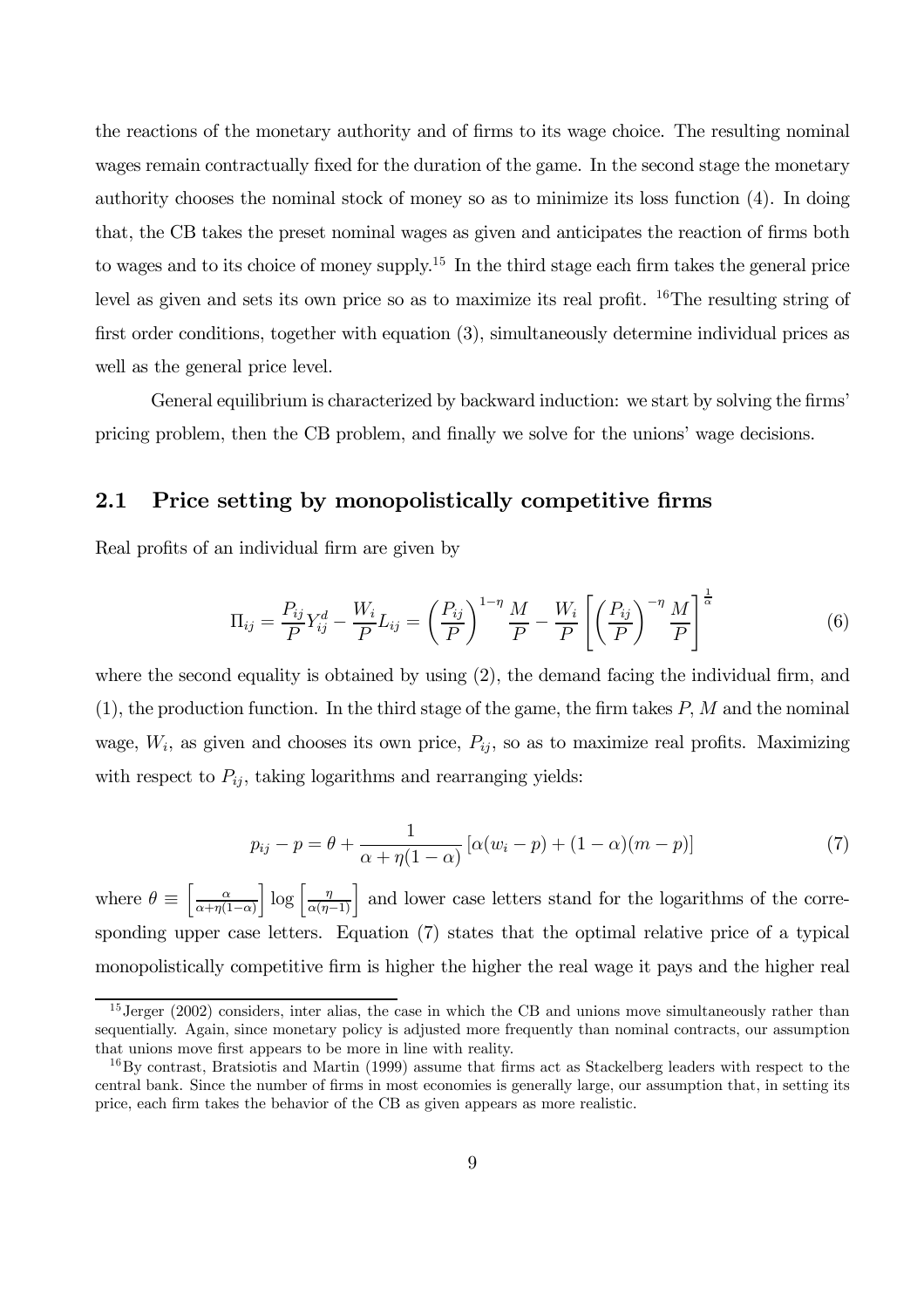the reactions of the monetary authority and of firms to its wage choice. The resulting nominal wages remain contractually fixed for the duration of the game. In the second stage the monetary authority chooses the nominal stock of money so as to minimize its loss function (4). In doing that, the CB takes the preset nominal wages as given and anticipates the reaction of firms both to wages and to its choice of money supply.<sup>15</sup> In the third stage each firm takes the general price level as given and sets its own price so as to maximize its real profit. 16The resulting string of first order conditions, together with equation (3), simultaneously determine individual prices as well as the general price level.

General equilibrium is characterized by backward induction: we start by solving the firms' pricing problem, then the CB problem, and finally we solve for the unions' wage decisions.

### 2.1 Price setting by monopolistically competitive firms

Real profits of an individual firm are given by

$$
\Pi_{ij} = \frac{P_{ij}}{P} Y_{ij}^d - \frac{W_i}{P} L_{ij} = \left(\frac{P_{ij}}{P}\right)^{1-\eta} \frac{M}{P} - \frac{W_i}{P} \left[\left(\frac{P_{ij}}{P}\right)^{-\eta} \frac{M}{P}\right]^{\frac{1}{\alpha}}
$$
(6)

where the second equality is obtained by using (2), the demand facing the individual firm, and  $(1)$ , the production function. In the third stage of the game, the firm takes  $P$ , M and the nominal wage,  $W_i$ , as given and chooses its own price,  $P_{ij}$ , so as to maximize real profits. Maximizing with respect to  $P_{ij}$ , taking logarithms and rearranging yields:

$$
p_{ij} - p = \theta + \frac{1}{\alpha + \eta(1 - \alpha)} \left[ \alpha (w_i - p) + (1 - \alpha)(m - p) \right] \tag{7}
$$

where  $\theta \equiv \left[ \frac{\alpha}{\alpha + \eta(1)} \right]$  $\alpha+\eta(1-\alpha)$  $\left[\log\left[\frac{\eta}{\alpha(\eta-1)}\right]$  and lower case letters stand for the logarithms of the corresponding upper case letters. Equation (7) states that the optimal relative price of a typical monopolistically competitive firm is higher the higher the real wage it pays and the higher real

 $15\,\text{Jerger}$  (2002) considers, inter alias, the case in which the CB and unions move simultaneously rather than sequentially. Again, since monetary policy is adjusted more frequently than nominal contracts, our assumption that unions move first appears to be more in line with reality.

<sup>&</sup>lt;sup>16</sup>By contrast, Bratsiotis and Martin (1999) assume that firms act as Stackelberg leaders with respect to the central bank. Since the number of firms in most economies is generally large, our assumption that, in setting its price, each firm takes the behavior of the CB as given appears as more realistic.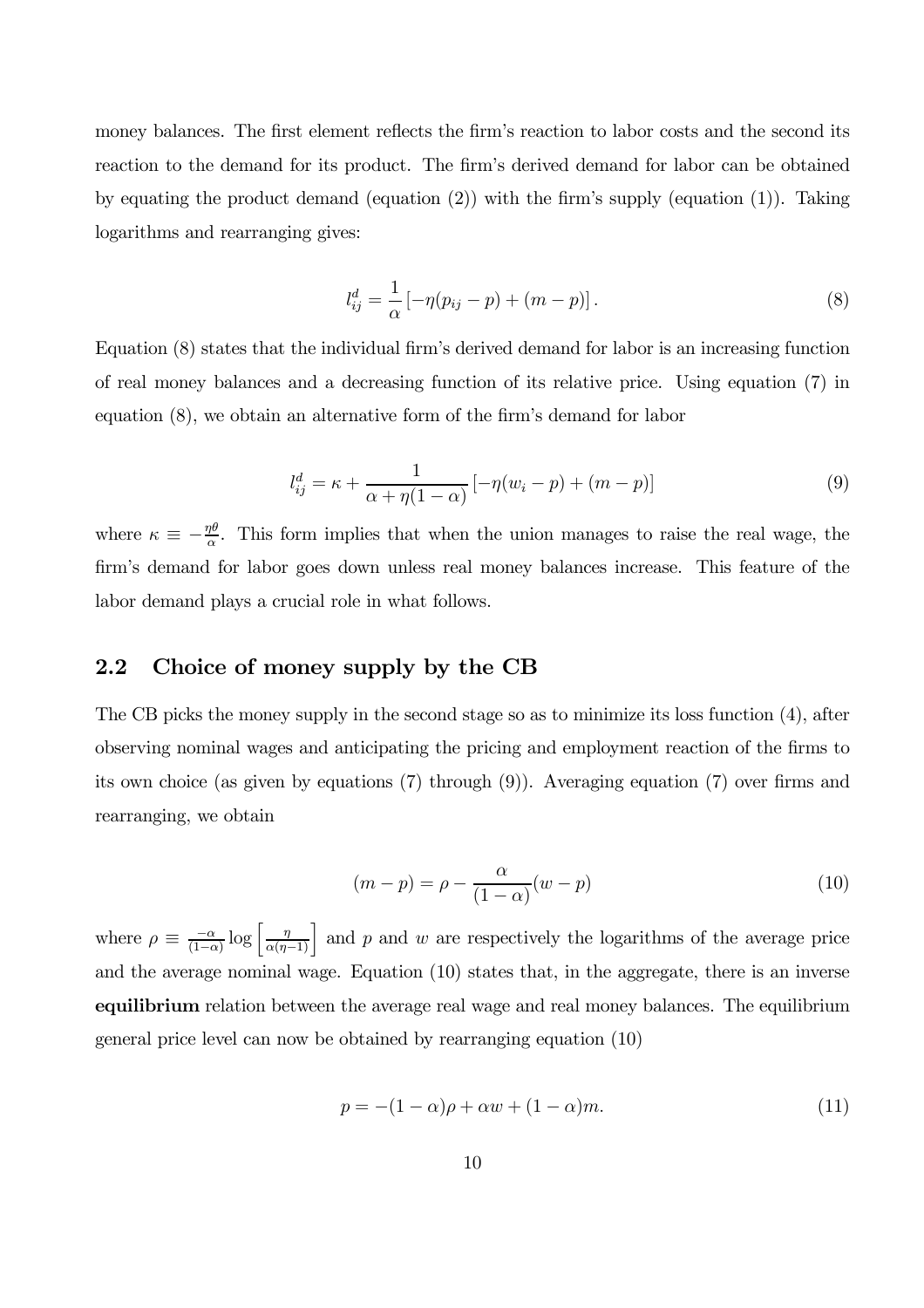money balances. The first element reflects the firm's reaction to labor costs and the second its reaction to the demand for its product. The firm's derived demand for labor can be obtained by equating the product demand (equation (2)) with the firm's supply (equation (1)). Taking logarithms and rearranging gives:

$$
l_{ij}^d = \frac{1}{\alpha} \left[ -\eta (p_{ij} - p) + (m - p) \right]. \tag{8}
$$

Equation (8) states that the individual firm's derived demand for labor is an increasing function of real money balances and a decreasing function of its relative price. Using equation (7) in equation (8), we obtain an alternative form of the firm's demand for labor

$$
l_{ij}^d = \kappa + \frac{1}{\alpha + \eta(1 - \alpha)} \left[ -\eta(w_i - p) + (m - p) \right]
$$
 (9)

where  $\kappa \equiv -\frac{\eta\theta}{\alpha}$ . This form implies that when the union manages to raise the real wage, the firm's demand for labor goes down unless real money balances increase. This feature of the labor demand plays a crucial role in what follows.

### 2.2 Choice of money supply by the CB

The CB picks the money supply in the second stage so as to minimize its loss function (4), after observing nominal wages and anticipating the pricing and employment reaction of the firms to its own choice (as given by equations (7) through (9)). Averaging equation (7) over firms and rearranging, we obtain

$$
(m-p) = \rho - \frac{\alpha}{(1-\alpha)}(w-p)
$$
\n(10)

where  $\rho \equiv \frac{-\alpha}{(1-\alpha)} \log \left[ \frac{\eta}{\alpha(\eta-1)} \right]$  and p and w are respectively the logarithms of the average price and the average nominal wage. Equation (10) states that, in the aggregate, there is an inverse equilibrium relation between the average real wage and real money balances. The equilibrium general price level can now be obtained by rearranging equation (10)

$$
p = -(1 - \alpha)\rho + \alpha w + (1 - \alpha)m.
$$
\n(11)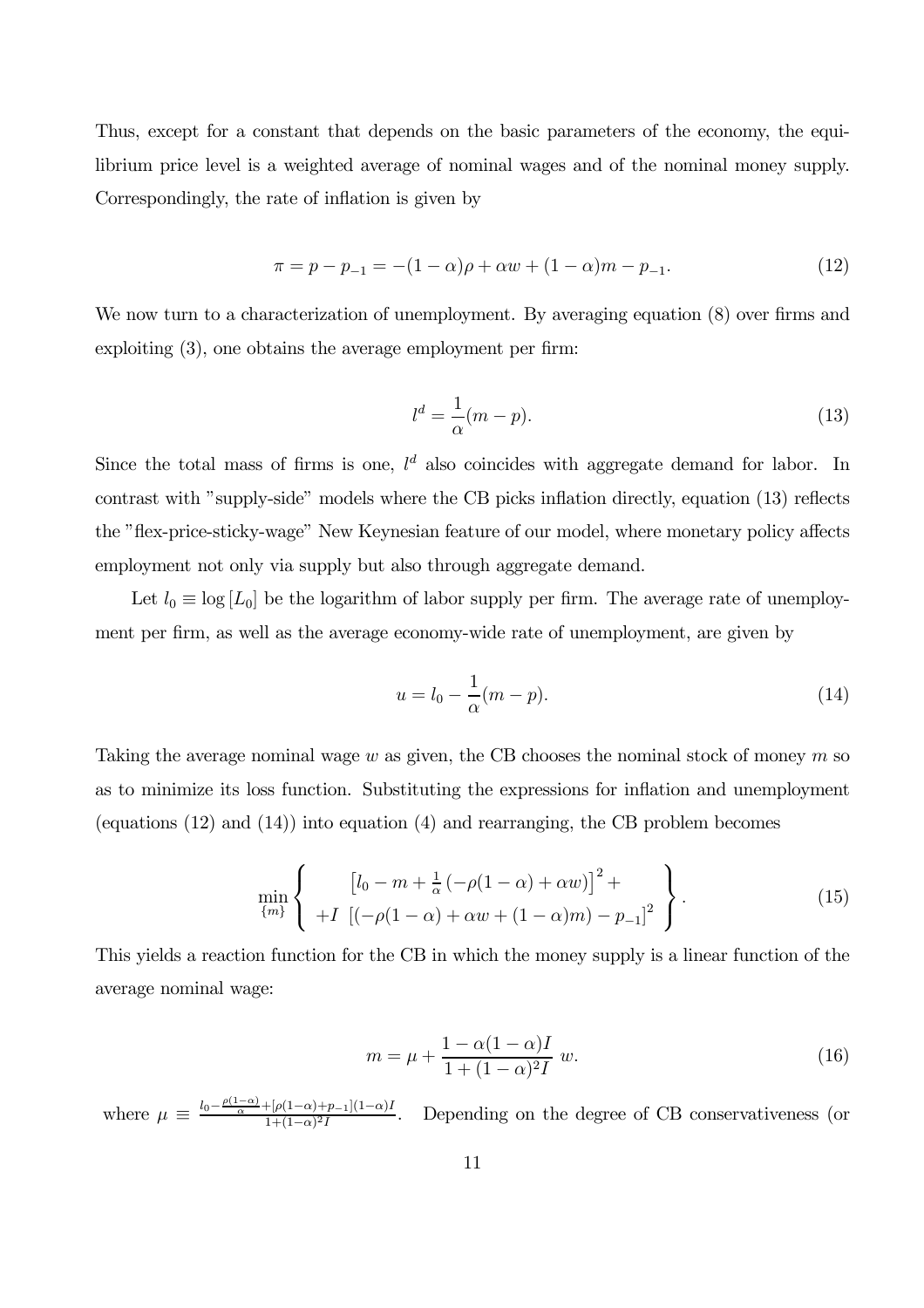Thus, except for a constant that depends on the basic parameters of the economy, the equilibrium price level is a weighted average of nominal wages and of the nominal money supply. Correspondingly, the rate of inflation is given by

$$
\pi = p - p_{-1} = -(1 - \alpha)\rho + \alpha w + (1 - \alpha)m - p_{-1}.
$$
\n(12)

We now turn to a characterization of unemployment. By averaging equation  $(8)$  over firms and exploiting (3), one obtains the average employment per firm:

$$
l^d = \frac{1}{\alpha}(m - p). \tag{13}
$$

Since the total mass of firms is one,  $l^d$  also coincides with aggregate demand for labor. In contrast with "supply-side" models where the CB picks inflation directly, equation (13) reflects the "flex-price-sticky-wage" New Keynesian feature of our model, where monetary policy affects employment not only via supply but also through aggregate demand.

Let  $l_0 \equiv \log [L_0]$  be the logarithm of labor supply per firm. The average rate of unemployment per firm, as well as the average economy-wide rate of unemployment, are given by

$$
u = l_0 - \frac{1}{\alpha}(m - p). \tag{14}
$$

Taking the average nominal wage  $w$  as given, the CB chooses the nominal stock of money  $m$  so as to minimize its loss function. Substituting the expressions for inflation and unemployment (equations (12) and (14)) into equation (4) and rearranging, the CB problem becomes

$$
\min_{\{m\}} \left\{ \begin{array}{c} \left[ l_0 - m + \frac{1}{\alpha} \left( -\rho (1 - \alpha) + \alpha w \right) \right]^2 + \\ + I \left[ \left( -\rho (1 - \alpha) + \alpha w + (1 - \alpha) m \right) - p_{-1} \right]^2 \end{array} \right\}.
$$
 (15)

This yields a reaction function for the CB in which the money supply is a linear function of the average nominal wage:

$$
m = \mu + \frac{1 - \alpha(1 - \alpha)I}{1 + (1 - \alpha)^2 I} w.
$$
\n(16)

where  $\mu \equiv \frac{l_0 - \frac{\rho(1-\alpha)}{\alpha} + [\rho(1-\alpha)+p_{-1}](1-\alpha)I}{1 + (1-\alpha)^2I}$ . Depending on the degree of CB conservativeness (or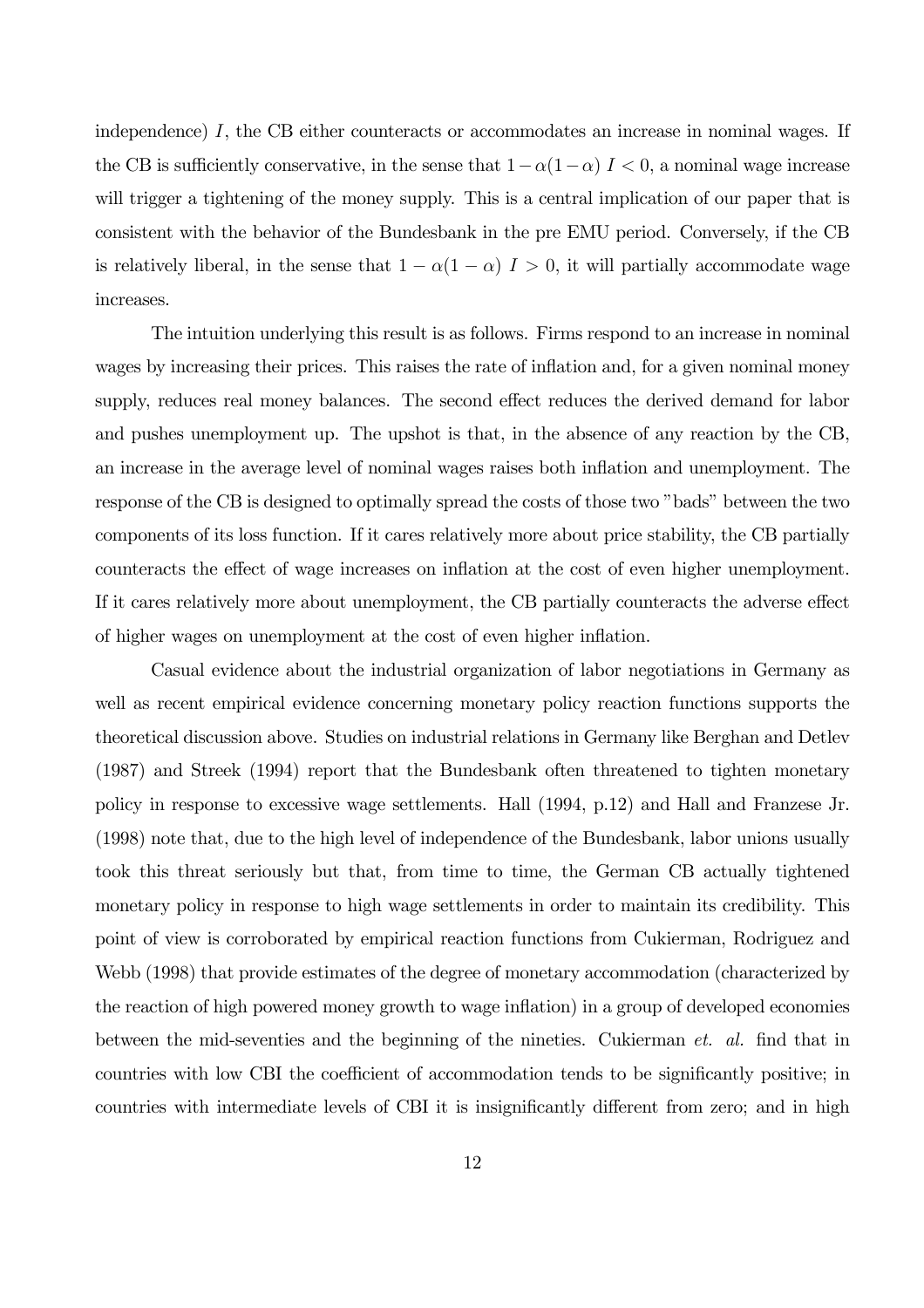independence) I, the CB either counteracts or accommodates an increase in nominal wages. If the CB is sufficiently conservative, in the sense that  $1-\alpha(1-\alpha)$   $I < 0$ , a nominal wage increase will trigger a tightening of the money supply. This is a central implication of our paper that is consistent with the behavior of the Bundesbank in the pre EMU period. Conversely, if the CB is relatively liberal, in the sense that  $1 - \alpha(1 - \alpha)$   $I > 0$ , it will partially accommodate wage increases.

The intuition underlying this result is as follows. Firms respond to an increase in nominal wages by increasing their prices. This raises the rate of inflation and, for a given nominal money supply, reduces real money balances. The second effect reduces the derived demand for labor and pushes unemployment up. The upshot is that, in the absence of any reaction by the CB, an increase in the average level of nominal wages raises both inflation and unemployment. The response of the CB is designed to optimally spread the costs of those two "bads" between the two components of its loss function. If it cares relatively more about price stability, the CB partially counteracts the effect of wage increases on inflation at the cost of even higher unemployment. If it cares relatively more about unemployment, the CB partially counteracts the adverse effect of higher wages on unemployment at the cost of even higher inflation.

Casual evidence about the industrial organization of labor negotiations in Germany as well as recent empirical evidence concerning monetary policy reaction functions supports the theoretical discussion above. Studies on industrial relations in Germany like Berghan and Detlev (1987) and Streek (1994) report that the Bundesbank often threatened to tighten monetary policy in response to excessive wage settlements. Hall (1994, p.12) and Hall and Franzese Jr. (1998) note that, due to the high level of independence of the Bundesbank, labor unions usually took this threat seriously but that, from time to time, the German CB actually tightened monetary policy in response to high wage settlements in order to maintain its credibility. This point of view is corroborated by empirical reaction functions from Cukierman, Rodriguez and Webb (1998) that provide estimates of the degree of monetary accommodation (characterized by the reaction of high powered money growth to wage inflation) in a group of developed economies between the mid-seventies and the beginning of the nineties. Cukierman *et. al.* find that in countries with low CBI the coefficient of accommodation tends to be significantly positive; in countries with intermediate levels of CBI it is insignificantly different from zero; and in high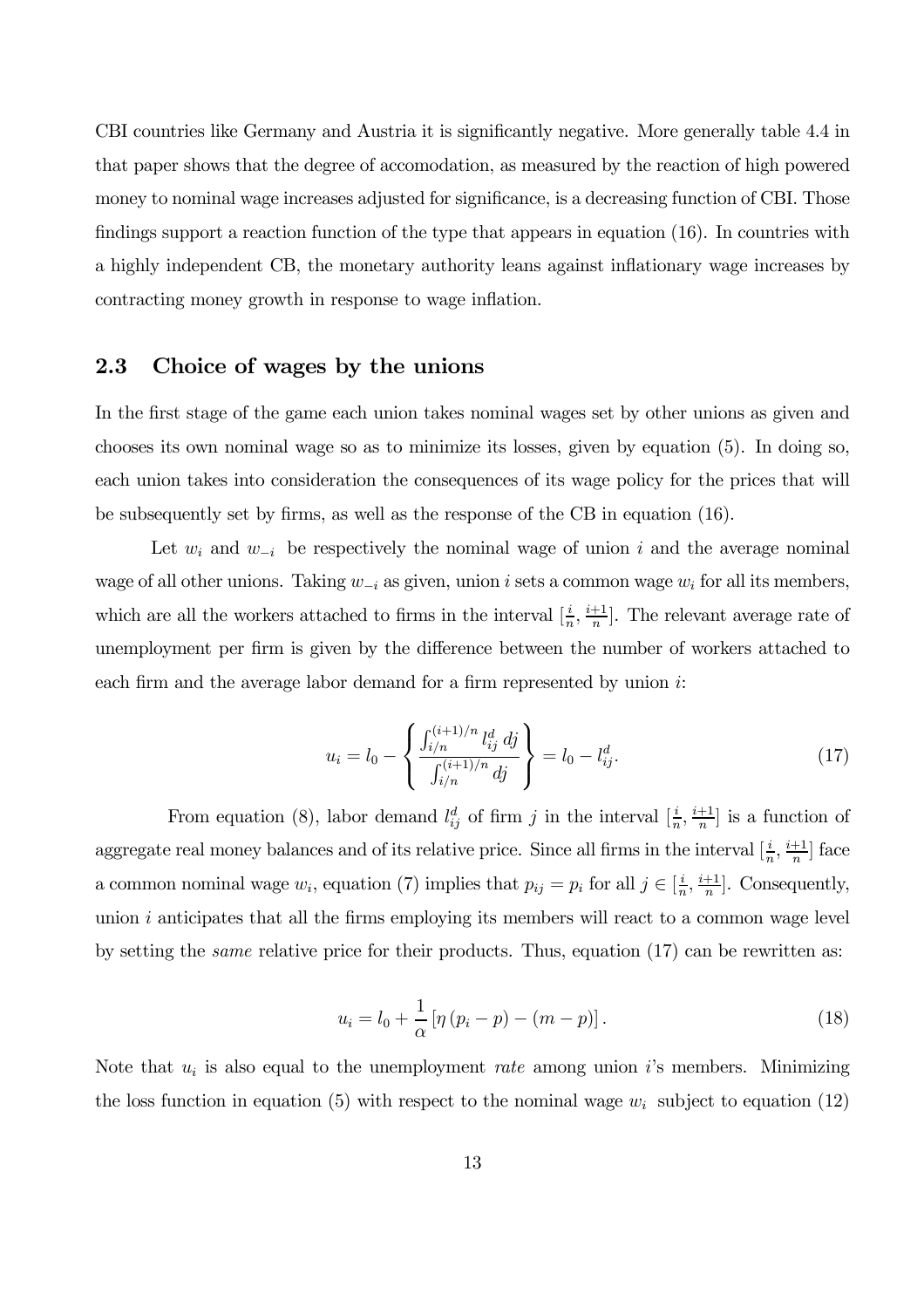CBI countries like Germany and Austria it is significantly negative. More generally table 4.4 in that paper shows that the degree of accomodation, as measured by the reaction of high powered money to nominal wage increases adjusted for significance, is a decreasing function of CBI. Those findings support a reaction function of the type that appears in equation (16). In countries with a highly independent CB, the monetary authority leans against inflationary wage increases by contracting money growth in response to wage inflation.

### 2.3 Choice of wages by the unions

In the first stage of the game each union takes nominal wages set by other unions as given and chooses its own nominal wage so as to minimize its losses, given by equation (5). In doing so, each union takes into consideration the consequences of its wage policy for the prices that will be subsequently set by firms, as well as the response of the CB in equation (16).

Let  $w_i$  and  $w_{-i}$  be respectively the nominal wage of union i and the average nominal wage of all other unions. Taking  $w_{-i}$  as given, union i sets a common wage  $w_i$  for all its members, which are all the workers attached to firms in the interval  $[\frac{i}{n}, \frac{i+1}{n}]$ . The relevant average rate of unemployment per firm is given by the difference between the number of workers attached to each firm and the average labor demand for a firm represented by union i:

$$
u_i = l_0 - \left\{ \frac{\int_{i/n}^{(i+1)/n} l_{ij}^d \, dj}{\int_{i/n}^{(i+1)/n} dj} \right\} = l_0 - l_{ij}^d. \tag{17}
$$

From equation (8), labor demand  $l_{ij}^d$  of firm j in the interval  $[\frac{i}{n}, \frac{i+1}{n}]$  is a function of aggregate real money balances and of its relative price. Since all firms in the interval  $[\frac{i}{n}, \frac{i+1}{n}]$  face a common nominal wage  $w_i$ , equation (7) implies that  $p_{ij} = p_i$  for all  $j \in \left[\frac{i}{n}, \frac{i+1}{n}\right]$ . Consequently, union  $i$  anticipates that all the firms employing its members will react to a common wage level by setting the *same* relative price for their products. Thus, equation  $(17)$  can be rewritten as:

$$
u_i = l_0 + \frac{1}{\alpha} \left[ \eta \left( p_i - p \right) - \left( m - p \right) \right]. \tag{18}
$$

Note that  $u_i$  is also equal to the unemployment *rate* among union i's members. Minimizing the loss function in equation (5) with respect to the nominal wage  $w_i$  subject to equation (12)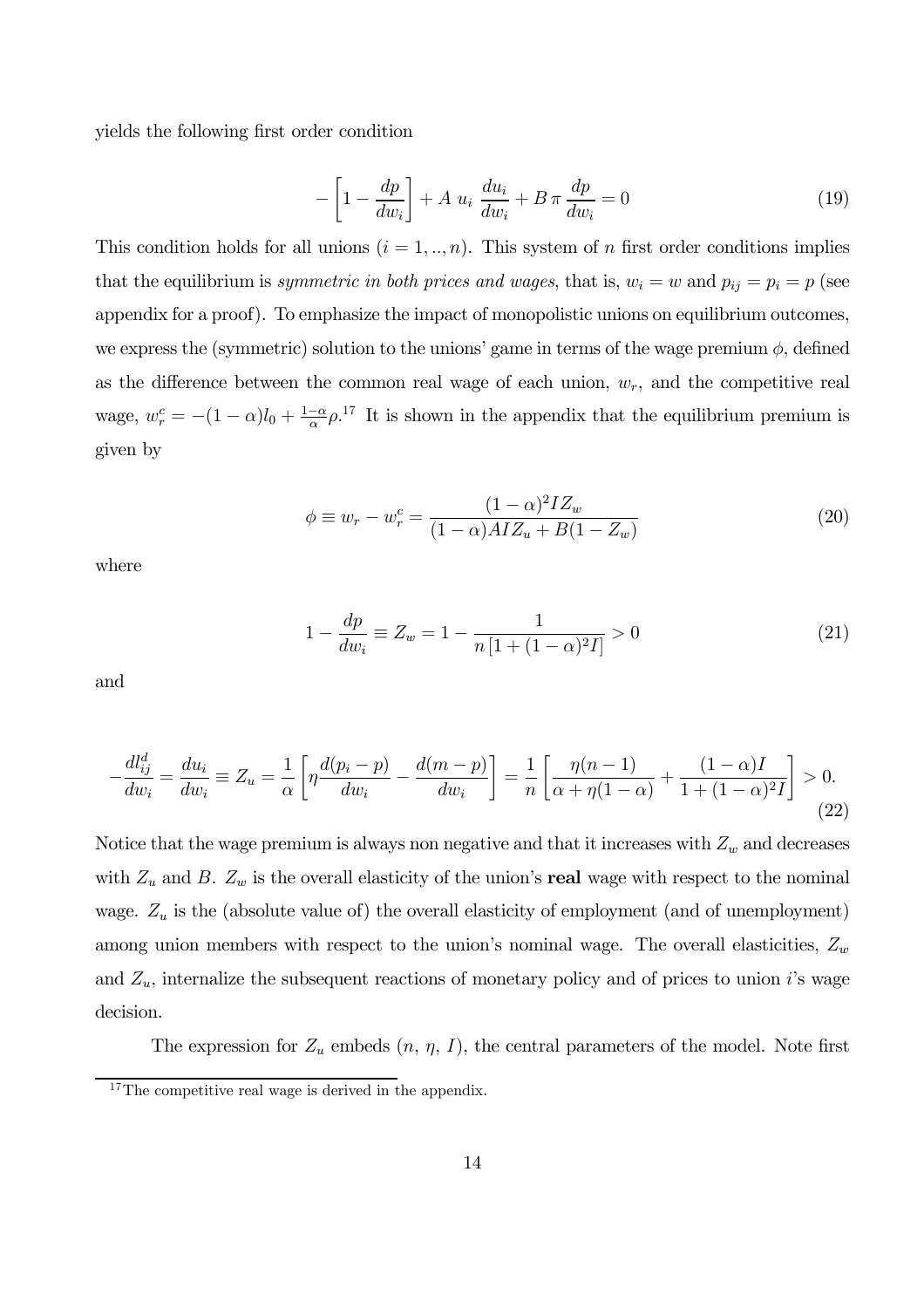yields the following first order condition

$$
-\left[1-\frac{dp}{dw_i}\right] + A u_i \frac{du_i}{dw_i} + B \pi \frac{dp}{dw_i} = 0 \tag{19}
$$

This condition holds for all unions  $(i = 1, ..., n)$ . This system of n first order conditions implies that the equilibrium is symmetric in both prices and wages, that is,  $w_i = w$  and  $p_{ij} = p_i = p$  (see appendix for a proof). To emphasize the impact of monopolistic unions on equilibrium outcomes, we express the (symmetric) solution to the unions' game in terms of the wage premium  $\phi$ , defined as the difference between the common real wage of each union,  $w_r$ , and the competitive real wage,  $w_r^c = -(1 - \alpha)l_0 + \frac{1-\alpha}{\alpha}\rho^{17}$  It is shown in the appendix that the equilibrium premium is given by

$$
\phi \equiv w_r - w_r^c = \frac{(1 - \alpha)^2 I Z_w}{(1 - \alpha) A I Z_u + B (1 - Z_w)}
$$
(20)

where

$$
1 - \frac{dp}{dw_i} \equiv Z_w = 1 - \frac{1}{n\left[1 + (1 - \alpha)^2 I\right]} > 0\tag{21}
$$

and

$$
-\frac{dl_{ij}^d}{dw_i} = \frac{du_i}{dw_i} \equiv Z_u = \frac{1}{\alpha} \left[ \eta \frac{d(p_i - p)}{dw_i} - \frac{d(m - p)}{dw_i} \right] = \frac{1}{n} \left[ \frac{\eta(n - 1)}{\alpha + \eta(1 - \alpha)} + \frac{(1 - \alpha)I}{1 + (1 - \alpha)^2 I} \right] > 0.
$$
\n(22)

Notice that the wage premium is always non negative and that it increases with  $Z_w$  and decreases with  $Z_u$  and B.  $Z_w$  is the overall elasticity of the union's **real** wage with respect to the nominal wage.  $Z_u$  is the (absolute value of) the overall elasticity of employment (and of unemployment) among union members with respect to the union's nominal wage. The overall elasticities,  $Z_w$ and  $Z_u$ , internalize the subsequent reactions of monetary policy and of prices to union i's wage decision.

The expression for  $Z_u$  embeds  $(n, \eta, I)$ , the central parameters of the model. Note first

 $17$ The competitive real wage is derived in the appendix.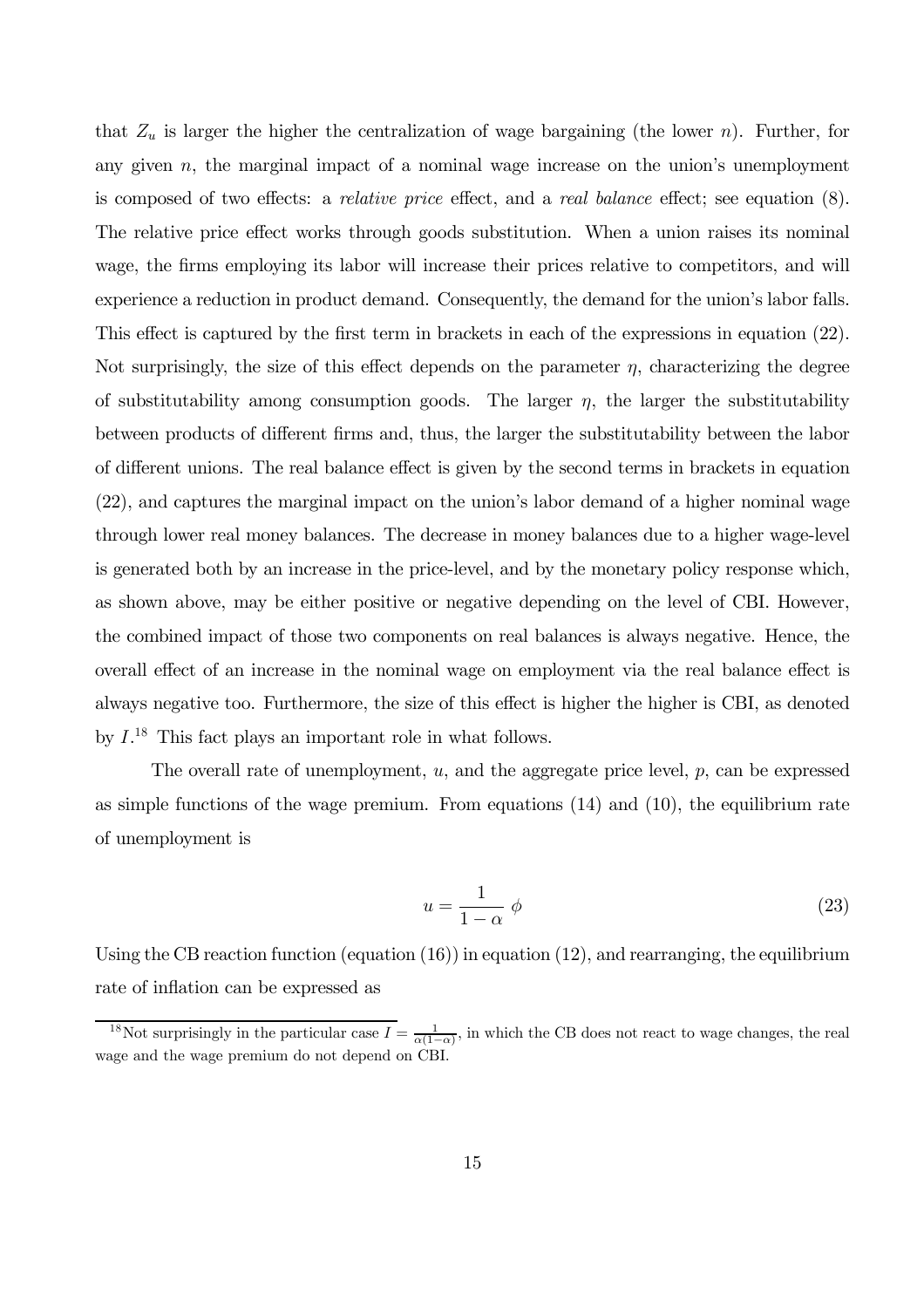that  $Z_u$  is larger the higher the centralization of wage bargaining (the lower n). Further, for any given  $n$ , the marginal impact of a nominal wage increase on the union's unemployment is composed of two effects: a relative price effect, and a real balance effect; see equation (8). The relative price effect works through goods substitution. When a union raises its nominal wage, the firms employing its labor will increase their prices relative to competitors, and will experience a reduction in product demand. Consequently, the demand for the union's labor falls. This effect is captured by the first term in brackets in each of the expressions in equation (22). Not surprisingly, the size of this effect depends on the parameter  $\eta$ , characterizing the degree of substitutability among consumption goods. The larger  $\eta$ , the larger the substitutability between products of different firms and, thus, the larger the substitutability between the labor of different unions. The real balance effect is given by the second terms in brackets in equation (22), and captures the marginal impact on the union's labor demand of a higher nominal wage through lower real money balances. The decrease in money balances due to a higher wage-level is generated both by an increase in the price-level, and by the monetary policy response which, as shown above, may be either positive or negative depending on the level of CBI. However, the combined impact of those two components on real balances is always negative. Hence, the overall effect of an increase in the nominal wage on employment via the real balance effect is always negative too. Furthermore, the size of this effect is higher the higher is CBI, as denoted by  $I^{18}$  This fact plays an important role in what follows.

The overall rate of unemployment,  $u$ , and the aggregate price level,  $p$ , can be expressed as simple functions of the wage premium. From equations (14) and (10), the equilibrium rate of unemployment is

$$
u = \frac{1}{1 - \alpha} \phi \tag{23}
$$

Using the CB reaction function (equation (16)) in equation (12), and rearranging, the equilibrium rate of inflation can be expressed as

<sup>&</sup>lt;sup>18</sup>Not surprisingly in the particular case  $I = \frac{1}{\alpha(1-\alpha)}$ , in which the CB does not react to wage changes, the real wage and the wage premium do not depend on CBI.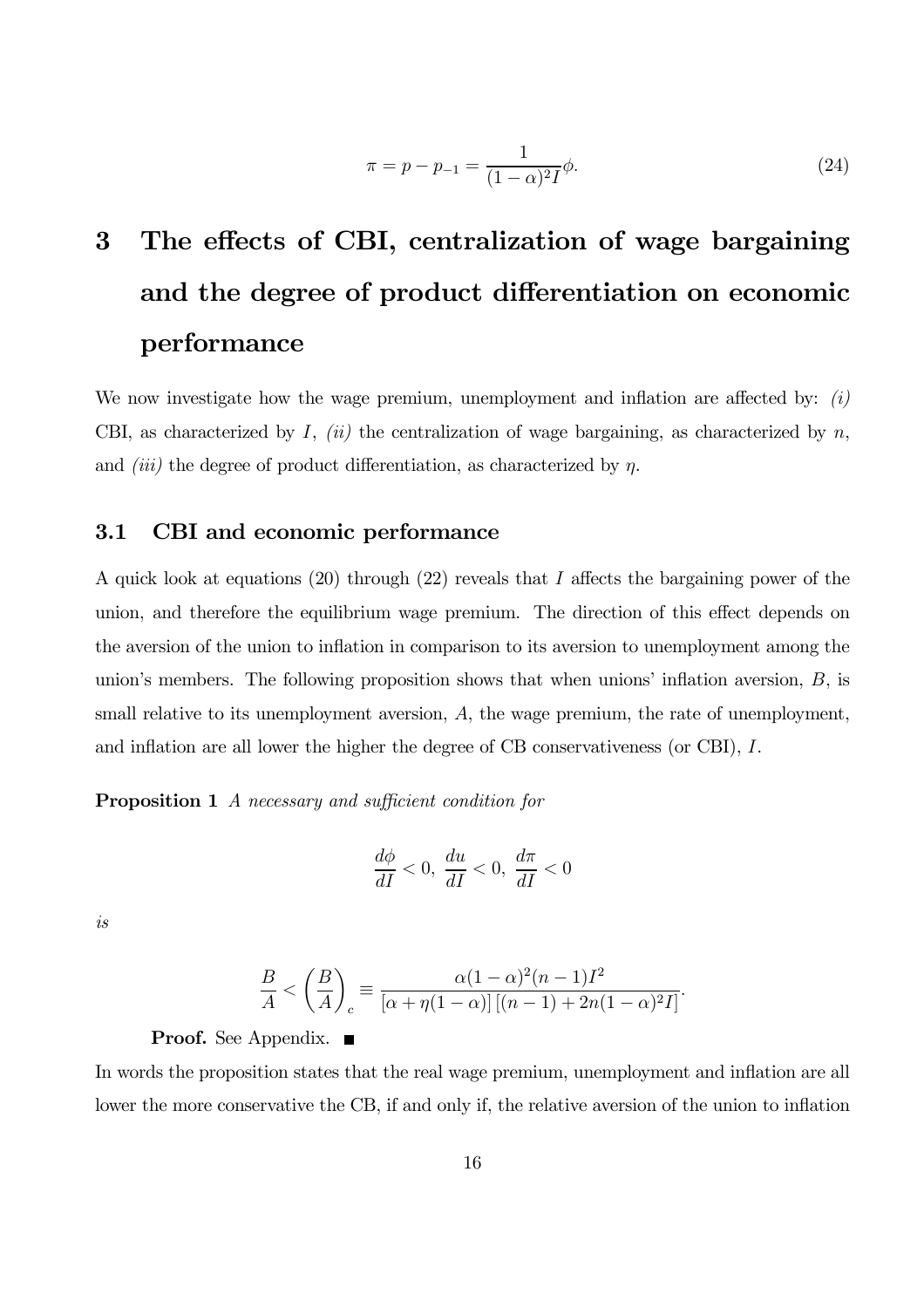$$
\pi = p - p_{-1} = \frac{1}{(1 - \alpha)^2 I} \phi.
$$
\n(24)

# 3 The effects of CBI, centralization of wage bargaining and the degree of product differentiation on economic performance

We now investigate how the wage premium, unemployment and inflation are affected by:  $(i)$ CBI, as characterized by I,  $(ii)$  the centralization of wage bargaining, as characterized by n, and *(iii)* the degree of product differentiation, as characterized by  $\eta$ .

### 3.1 CBI and economic performance

A quick look at equations (20) through (22) reveals that I affects the bargaining power of the union, and therefore the equilibrium wage premium. The direction of this effect depends on the aversion of the union to inflation in comparison to its aversion to unemployment among the union's members. The following proposition shows that when unions' inflation aversion,  $B$ , is small relative to its unemployment aversion, A, the wage premium, the rate of unemployment, and inflation are all lower the higher the degree of CB conservativeness (or CBI), I.

**Proposition 1** A necessary and sufficient condition for

$$
\frac{d\phi}{dI} < 0, \, \frac{du}{dI} < 0, \, \frac{d\pi}{dI} < 0
$$

is

$$
\frac{B}{A} < \left(\frac{B}{A}\right)_c \equiv \frac{\alpha(1-\alpha)^2(n-1)I^2}{\left[\alpha + \eta(1-\alpha)\right]\left[(n-1) + 2n(1-\alpha)^2I\right]}.
$$

#### **Proof.** See Appendix. ■

In words the proposition states that the real wage premium, unemployment and inflation are all lower the more conservative the CB, if and only if, the relative aversion of the union to inflation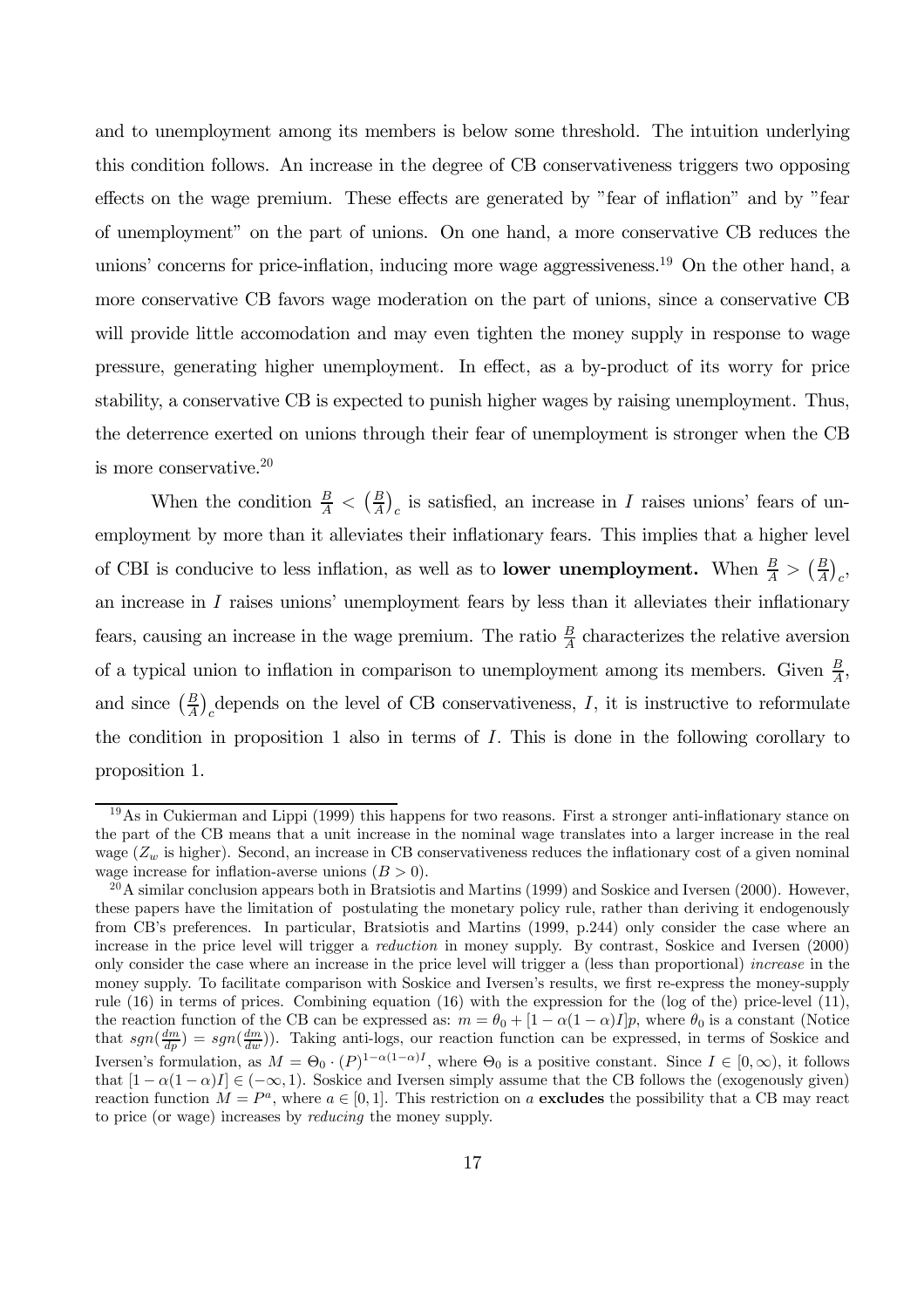and to unemployment among its members is below some threshold. The intuition underlying this condition follows. An increase in the degree of CB conservativeness triggers two opposing effects on the wage premium. These effects are generated by "fear of inflation" and by "fear of unemployment" on the part of unions. On one hand, a more conservative CB reduces the unions' concerns for price-inflation, inducing more wage aggressiveness.<sup>19</sup> On the other hand, a more conservative CB favors wage moderation on the part of unions, since a conservative CB will provide little accomodation and may even tighten the money supply in response to wage pressure, generating higher unemployment. In effect, as a by-product of its worry for price stability, a conservative CB is expected to punish higher wages by raising unemployment. Thus, the deterrence exerted on unions through their fear of unemployment is stronger when the CB is more conservative. $^{20}$ 

When the condition  $\frac{B}{A} < (\frac{B}{A})_c$  is satisfied, an increase in I raises unions' fears of unemployment by more than it alleviates their inflationary fears. This implies that a higher level of CBI is conducive to less inflation, as well as to **lower unemployment.** When  $\frac{B}{A} > (\frac{B}{A})_c$ , an increase in I raises unions' unemployment fears by less than it alleviates their inflationary fears, causing an increase in the wage premium. The ratio  $\frac{B}{A}$  characterizes the relative aversion of a typical union to inflation in comparison to unemployment among its members. Given  $\frac{B}{A}$ , and since  $\left(\frac{B}{A}\right)_c$  depends on the level of CB conservativeness, I, it is instructive to reformulate the condition in proposition 1 also in terms of I. This is done in the following corollary to proposition 1.

<sup>19</sup>As in Cukierman and Lippi (1999) this happens for two reasons. First a stronger anti-inflationary stance on the part of the CB means that a unit increase in the nominal wage translates into a larger increase in the real wage  $(Z_w$  is higher). Second, an increase in CB conservativeness reduces the inflationary cost of a given nominal wage increase for inflation-averse unions  $(B > 0)$ .

 $^{20}$ A similar conclusion appears both in Bratsiotis and Martins (1999) and Soskice and Iversen (2000). However, these papers have the limitation of postulating the monetary policy rule, rather than deriving it endogenously from CB's preferences. In particular, Bratsiotis and Martins (1999, p.244) only consider the case where an increase in the price level will trigger a reduction in money supply. By contrast, Soskice and Iversen (2000) only consider the case where an increase in the price level will trigger a (less than proportional) increase in the money supply. To facilitate comparison with Soskice and Iversen's results, we first re-express the money-supply rule (16) in terms of prices. Combining equation (16) with the expression for the (log of the) price-level (11), the reaction function of the CB can be expressed as:  $m = \theta_0 + [1 - \alpha(1 - \alpha)I]p$ , where  $\theta_0$  is a constant (Notice that  $sgn(\frac{dm}{dp}) = sgn(\frac{dm}{dw})$ . Taking anti-logs, our reaction function can be expressed, in terms of Soskice and Iversen's formulation, as  $M = \Theta_0 \cdot (P)^{1-\alpha(1-\alpha)I}$ , where  $\Theta_0$  is a positive constant. Since  $I \in [0,\infty)$ , it follows that  $[1 - \alpha(1 - \alpha)I] \in (-\infty, 1)$ . Soskice and Iversen simply assume that the CB follows the (exogenously given) reaction function  $M = P^a$ , where  $a \in [0, 1]$ . This restriction on a **excludes** the possibility that a CB may react to price (or wage) increases by reducing the money supply.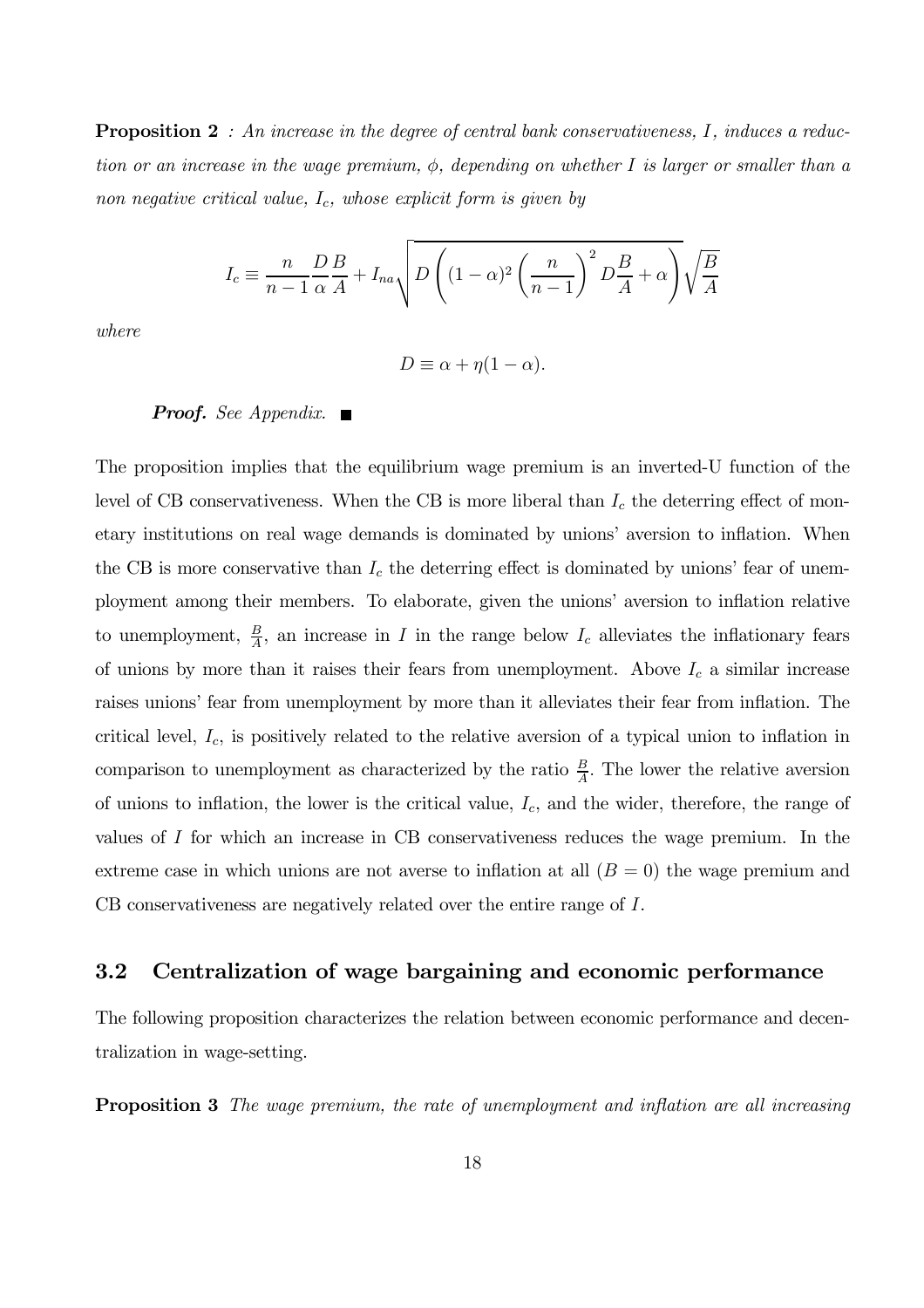**Proposition 2** : An increase in the degree of central bank conservativeness, I, induces a reduction or an increase in the wage premium,  $\phi$ , depending on whether I is larger or smaller than a non negative critical value,  $I_c$ , whose explicit form is given by

$$
I_c \equiv \frac{n}{n-1} \frac{D}{\alpha} \frac{B}{A} + I_{na} \sqrt{D \left( (1-\alpha)^2 \left( \frac{n}{n-1} \right)^2 D \frac{B}{A} + \alpha \right)} \sqrt{\frac{B}{A}}
$$

where

 $D \equiv \alpha + \eta(1-\alpha)$ .

### **Proof.** See Appendix.  $\blacksquare$

The proposition implies that the equilibrium wage premium is an inverted-U function of the level of CB conservativeness. When the CB is more liberal than  $I_c$  the deterring effect of monetary institutions on real wage demands is dominated by unions' aversion to inflation. When the CB is more conservative than  $I_c$  the deterring effect is dominated by unions' fear of unemployment among their members. To elaborate, given the unions' aversion to inflation relative to unemployment,  $\frac{B}{A}$ , an increase in I in the range below  $I_c$  alleviates the inflationary fears of unions by more than it raises their fears from unemployment. Above  $I_c$  a similar increase raises unions' fear from unemployment by more than it alleviates their fear from inflation. The critical level,  $I_c$ , is positively related to the relative aversion of a typical union to inflation in comparison to unemployment as characterized by the ratio  $\frac{B}{A}$ . The lower the relative aversion of unions to inflation, the lower is the critical value,  $I_c$ , and the wider, therefore, the range of values of I for which an increase in CB conservativeness reduces the wage premium. In the extreme case in which unions are not averse to inflation at all  $(B = 0)$  the wage premium and CB conservativeness are negatively related over the entire range of I.

### 3.2 Centralization of wage bargaining and economic performance

The following proposition characterizes the relation between economic performance and decentralization in wage-setting.

**Proposition 3** The wage premium, the rate of unemployment and inflation are all increasing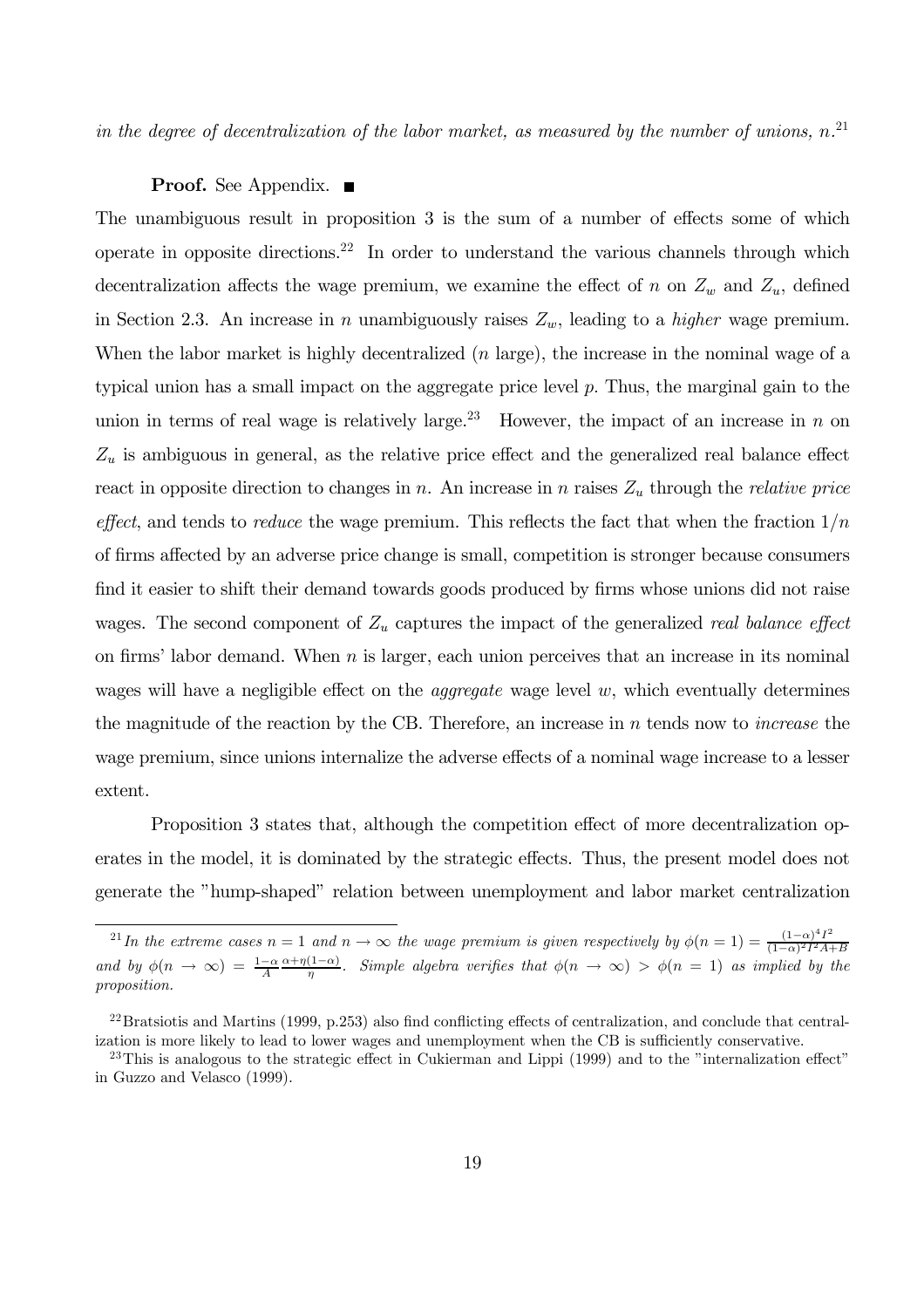in the degree of decentralization of the labor market, as measured by the number of unions,  $n^{21}$ 

### **Proof.** See Appendix.  $\blacksquare$

The unambiguous result in proposition 3 is the sum of a number of effects some of which operate in opposite directions.<sup>22</sup> In order to understand the various channels through which decentralization affects the wage premium, we examine the effect of n on  $Z_w$  and  $Z_u$ , defined in Section 2.3. An increase in n unambiguously raises  $Z_w$ , leading to a *higher* wage premium. When the labor market is highly decentralized (*n* large), the increase in the nominal wage of a typical union has a small impact on the aggregate price level  $p$ . Thus, the marginal gain to the union in terms of real wage is relatively large.<sup>23</sup> However, the impact of an increase in n on  $Z_u$  is ambiguous in general, as the relative price effect and the generalized real balance effect react in opposite direction to changes in n. An increase in n raises  $Z_u$  through the relative price effect, and tends to reduce the wage premium. This reflects the fact that when the fraction  $1/n$ of firms affected by an adverse price change is small, competition is stronger because consumers find it easier to shift their demand towards goods produced by firms whose unions did not raise wages. The second component of  $Z_u$  captures the impact of the generalized real balance effect on firms' labor demand. When  $n$  is larger, each union perceives that an increase in its nominal wages will have a negligible effect on the *aggregate* wage level  $w$ , which eventually determines the magnitude of the reaction by the CB. Therefore, an increase in  $n$  tends now to *increase* the wage premium, since unions internalize the adverse effects of a nominal wage increase to a lesser extent.

Proposition 3 states that, although the competition effect of more decentralization operates in the model, it is dominated by the strategic effects. Thus, the present model does not generate the "hump-shaped" relation between unemployment and labor market centralization

<sup>&</sup>lt;sup>21</sup> In the extreme cases  $n = 1$  and  $n \to \infty$  the wage premium is given respectively by  $\phi(n = 1) = \frac{(1-\alpha)^4 I^2}{(1-\alpha)^2 I^2 A + B}$ and by  $\phi(n \to \infty) = \frac{1-\alpha}{A} \frac{\alpha + \eta(1-\alpha)}{\eta}$ . Simple algebra verifies that  $\phi(n \to \infty) > \phi(n = 1)$  as implied by the proposition.

 $^{22}$ Bratsiotis and Martins (1999, p.253) also find conflicting effects of centralization, and conclude that centralization is more likely to lead to lower wages and unemployment when the CB is sufficiently conservative.

 $23$ This is analogous to the strategic effect in Cukierman and Lippi (1999) and to the "internalization effect" in Guzzo and Velasco (1999).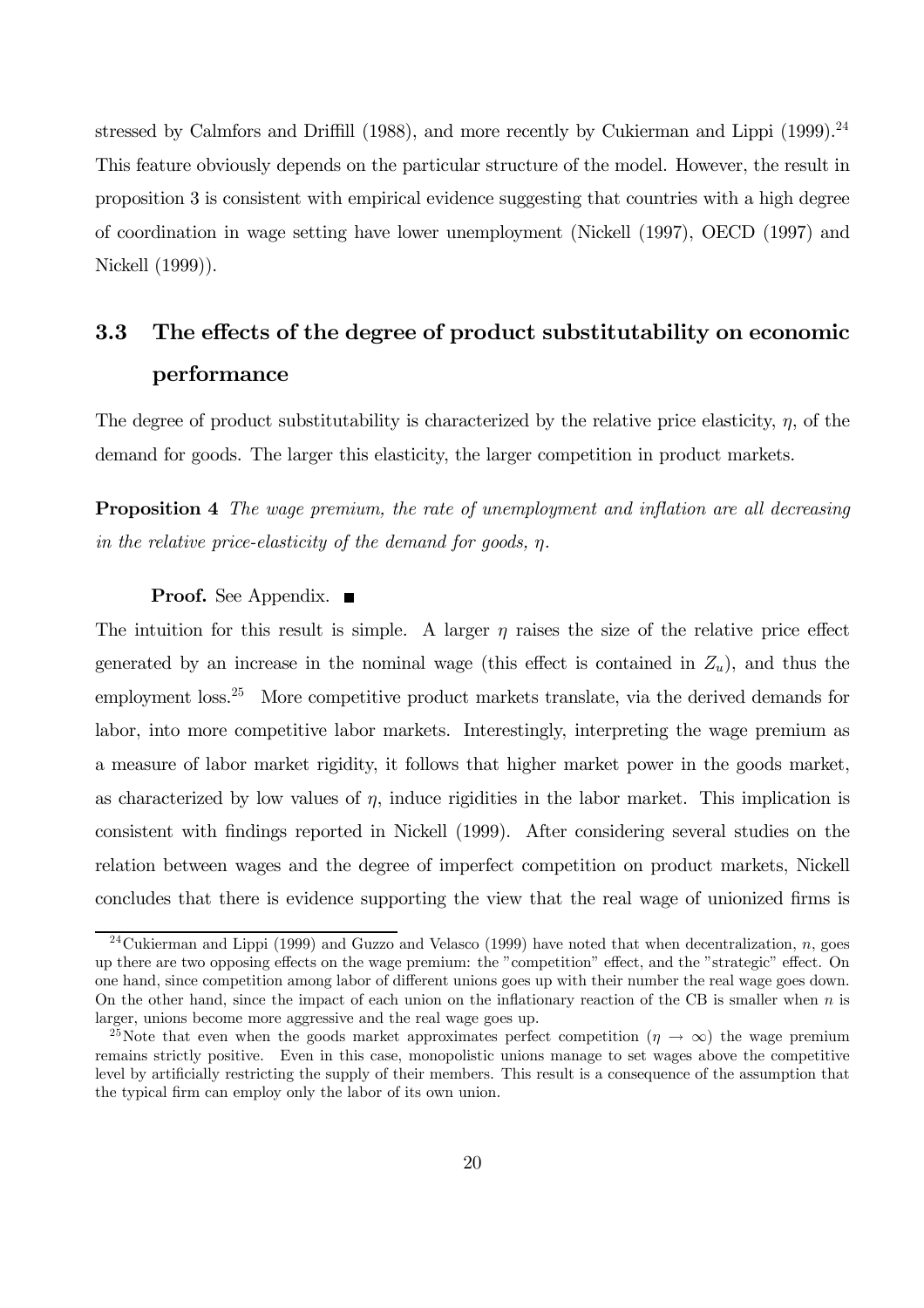stressed by Calmfors and Driffill  $(1988)$ , and more recently by Cukierman and Lippi  $(1999).^{24}$ This feature obviously depends on the particular structure of the model. However, the result in proposition 3 is consistent with empirical evidence suggesting that countries with a high degree of coordination in wage setting have lower unemployment (Nickell (1997), OECD (1997) and Nickell (1999)).

# 3.3 The effects of the degree of product substitutability on economic performance

The degree of product substitutability is characterized by the relative price elasticity,  $\eta$ , of the demand for goods. The larger this elasticity, the larger competition in product markets.

**Proposition 4** The wage premium, the rate of unemployment and inflation are all decreasing in the relative price-elasticity of the demand for goods, η.

#### **Proof.** See Appendix. ■

The intuition for this result is simple. A larger  $\eta$  raises the size of the relative price effect generated by an increase in the nominal wage (this effect is contained in  $Z_u$ ), and thus the employment loss.<sup>25</sup> More competitive product markets translate, via the derived demands for labor, into more competitive labor markets. Interestingly, interpreting the wage premium as a measure of labor market rigidity, it follows that higher market power in the goods market, as characterized by low values of  $\eta$ , induce rigidities in the labor market. This implication is consistent with findings reported in Nickell (1999). After considering several studies on the relation between wages and the degree of imperfect competition on product markets, Nickell concludes that there is evidence supporting the view that the real wage of unionized firms is

<sup>&</sup>lt;sup>24</sup>Cukierman and Lippi (1999) and Guzzo and Velasco (1999) have noted that when decentralization, n, goes up there are two opposing effects on the wage premium: the "competition" effect, and the "strategic" effect. On one hand, since competition among labor of different unions goes up with their number the real wage goes down. On the other hand, since the impact of each union on the inflationary reaction of the CB is smaller when  $n$  is larger, unions become more aggressive and the real wage goes up.

<sup>&</sup>lt;sup>25</sup>Note that even when the goods market approximates perfect competition  $(\eta \to \infty)$  the wage premium remains strictly positive. Even in this case, monopolistic unions manage to set wages above the competitive level by artificially restricting the supply of their members. This result is a consequence of the assumption that the typical firm can employ only the labor of its own union.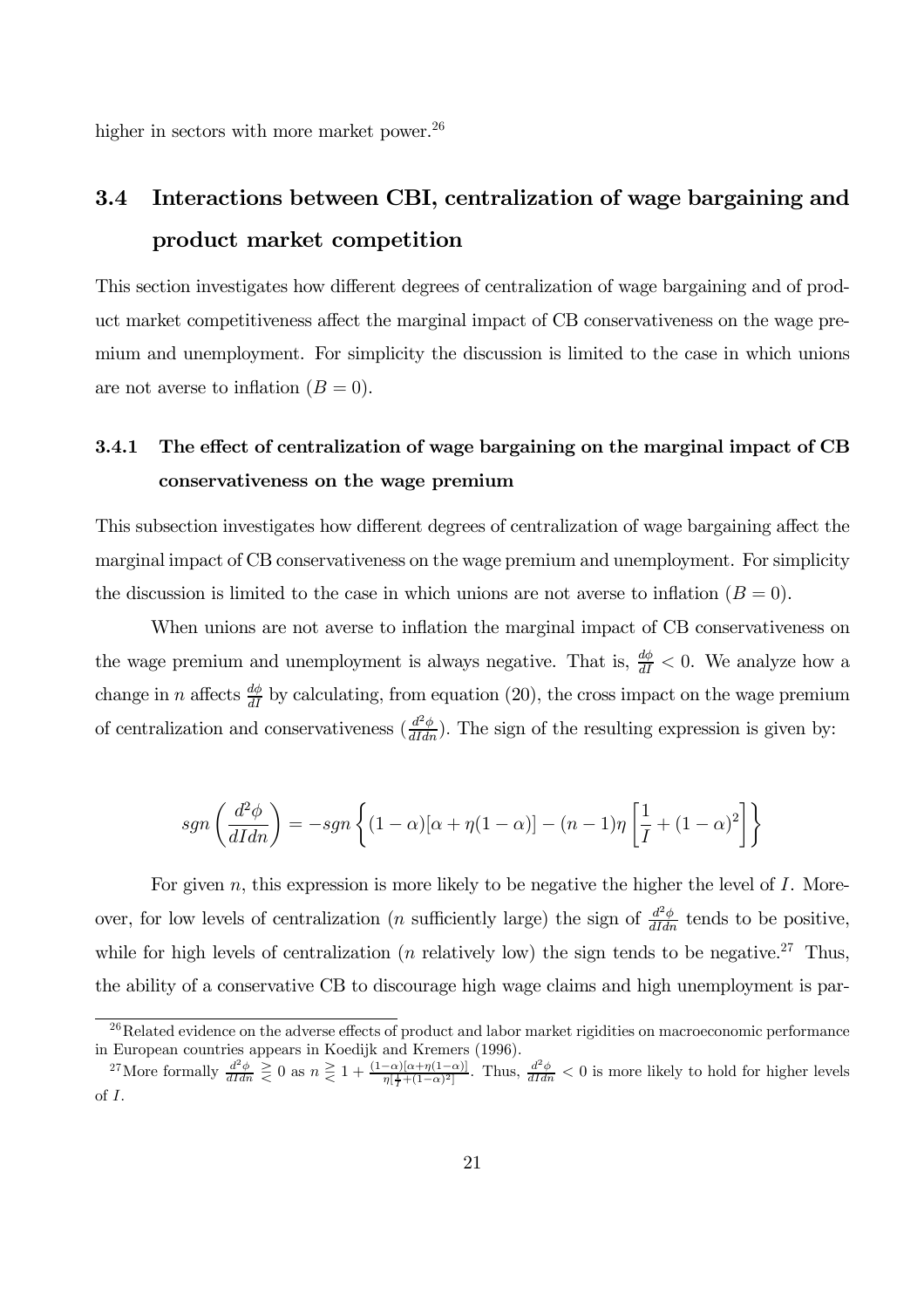higher in sectors with more market power.<sup>26</sup>

# 3.4 Interactions between CBI, centralization of wage bargaining and product market competition

This section investigates how different degrees of centralization of wage bargaining and of product market competitiveness affect the marginal impact of CB conservativeness on the wage premium and unemployment. For simplicity the discussion is limited to the case in which unions are not averse to inflation  $(B = 0)$ .

### 3.4.1 The effect of centralization of wage bargaining on the marginal impact of CB conservativeness on the wage premium

This subsection investigates how different degrees of centralization of wage bargaining affect the marginal impact of CB conservativeness on the wage premium and unemployment. For simplicity the discussion is limited to the case in which unions are not averse to inflation  $(B = 0)$ .

When unions are not averse to inflation the marginal impact of CB conservativeness on the wage premium and unemployment is always negative. That is,  $\frac{d\phi}{dI} < 0$ . We analyze how a change in n affects  $\frac{d\phi}{dI}$  by calculating, from equation (20), the cross impact on the wage premium of centralization and conservativeness  $\left(\frac{d^2\phi}{dIdn}\right)$ . The sign of the resulting expression is given by:

$$
sgn\left(\frac{d^2\phi}{dIdn}\right) = -sgn\left\{(1-\alpha)[\alpha + \eta(1-\alpha)] - (n-1)\eta\left[\frac{1}{I} + (1-\alpha)^2\right]\right\}
$$

For given  $n$ , this expression is more likely to be negative the higher the level of  $I$ . Moreover, for low levels of centralization (*n* sufficiently large) the sign of  $\frac{d^2\phi}{dI d n}$  tends to be positive, while for high levels of centralization (*n* relatively low) the sign tends to be negative.<sup>27</sup> Thus, the ability of a conservative CB to discourage high wage claims and high unemployment is par-

<sup>&</sup>lt;sup>26</sup>Related evidence on the adverse effects of product and labor market rigidities on macroeconomic performance in European countries appears in Koedijk and Kremers (1996).

<sup>&</sup>lt;sup>27</sup>More formally  $\frac{d^2\phi}{dIdn} \geq 0$  as  $n \geq 1 + \frac{(1-\alpha)[\alpha + \eta(1-\alpha)]}{\eta[\frac{1}{f} + (1-\alpha)^2]}$ . Thus,  $\frac{d^2\phi}{dIdn} < 0$  is more likely to hold for higher levels of I.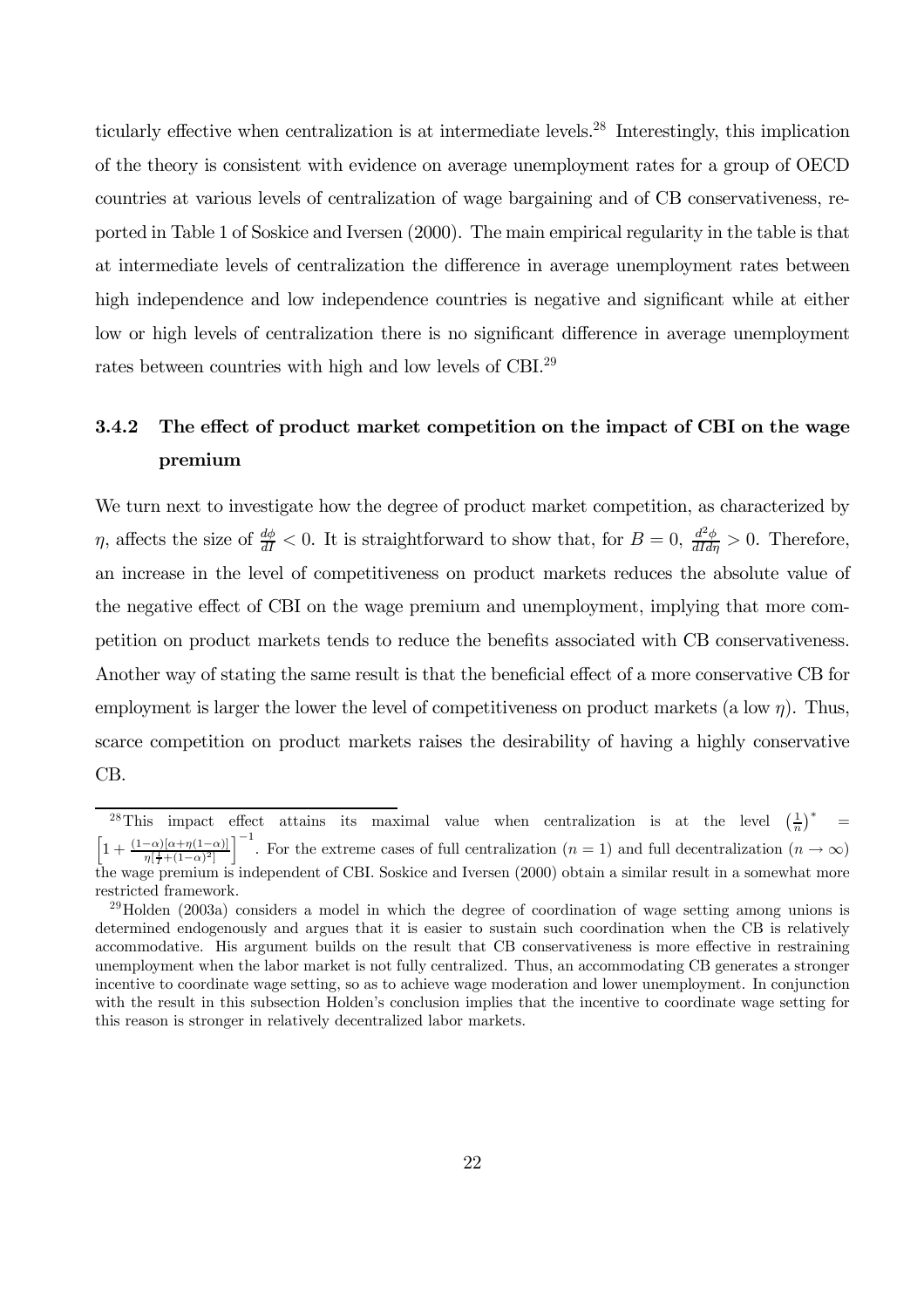ticularly effective when centralization is at intermediate levels.28 Interestingly, this implication of the theory is consistent with evidence on average unemployment rates for a group of OECD countries at various levels of centralization of wage bargaining and of CB conservativeness, reported in Table 1 of Soskice and Iversen (2000). The main empirical regularity in the table is that at intermediate levels of centralization the difference in average unemployment rates between high independence and low independence countries is negative and significant while at either low or high levels of centralization there is no significant difference in average unemployment rates between countries with high and low levels of CBI.29

### 3.4.2 The effect of product market competition on the impact of CBI on the wage premium

We turn next to investigate how the degree of product market competition, as characterized by  $\eta$ , affects the size of  $\frac{d\phi}{dI} < 0$ . It is straightforward to show that, for  $B = 0$ ,  $\frac{d^2\phi}{dI d\eta} > 0$ . Therefore, an increase in the level of competitiveness on product markets reduces the absolute value of the negative effect of CBI on the wage premium and unemployment, implying that more competition on product markets tends to reduce the benefits associated with CB conservativeness. Another way of stating the same result is that the beneficial effect of a more conservative CB for employment is larger the lower the level of competitiveness on product markets (a low  $\eta$ ). Thus, scarce competition on product markets raises the desirability of having a highly conservative CB.

<sup>&</sup>lt;sup>28</sup>This impact effect attains its maximal value when centralization is at the level  $\left(\frac{1}{n}\right)^*$  =  $\left[1+\frac{(1-\alpha)[\alpha+\eta(1-\alpha)]}{\eta[\frac{1}{2}+(1-\alpha)^2]}\right]^{-1}$ . For the extreme cases of full centralization  $(n=1)$  and full decentralization  $(n=1)$  $\int_0^{-1}$ . For the extreme cases of full centralization (n = 1) and full decentralization (n → ∞) the wage premium is independent of CBI. Soskice and Iversen (2000) obtain a similar result in a somewhat more restricted framework.

 $^{29}$ Holden (2003a) considers a model in which the degree of coordination of wage setting among unions is determined endogenously and argues that it is easier to sustain such coordination when the CB is relatively accommodative. His argument builds on the result that CB conservativeness is more effective in restraining unemployment when the labor market is not fully centralized. Thus, an accommodating CB generates a stronger incentive to coordinate wage setting, so as to achieve wage moderation and lower unemployment. In conjunction with the result in this subsection Holden's conclusion implies that the incentive to coordinate wage setting for this reason is stronger in relatively decentralized labor markets.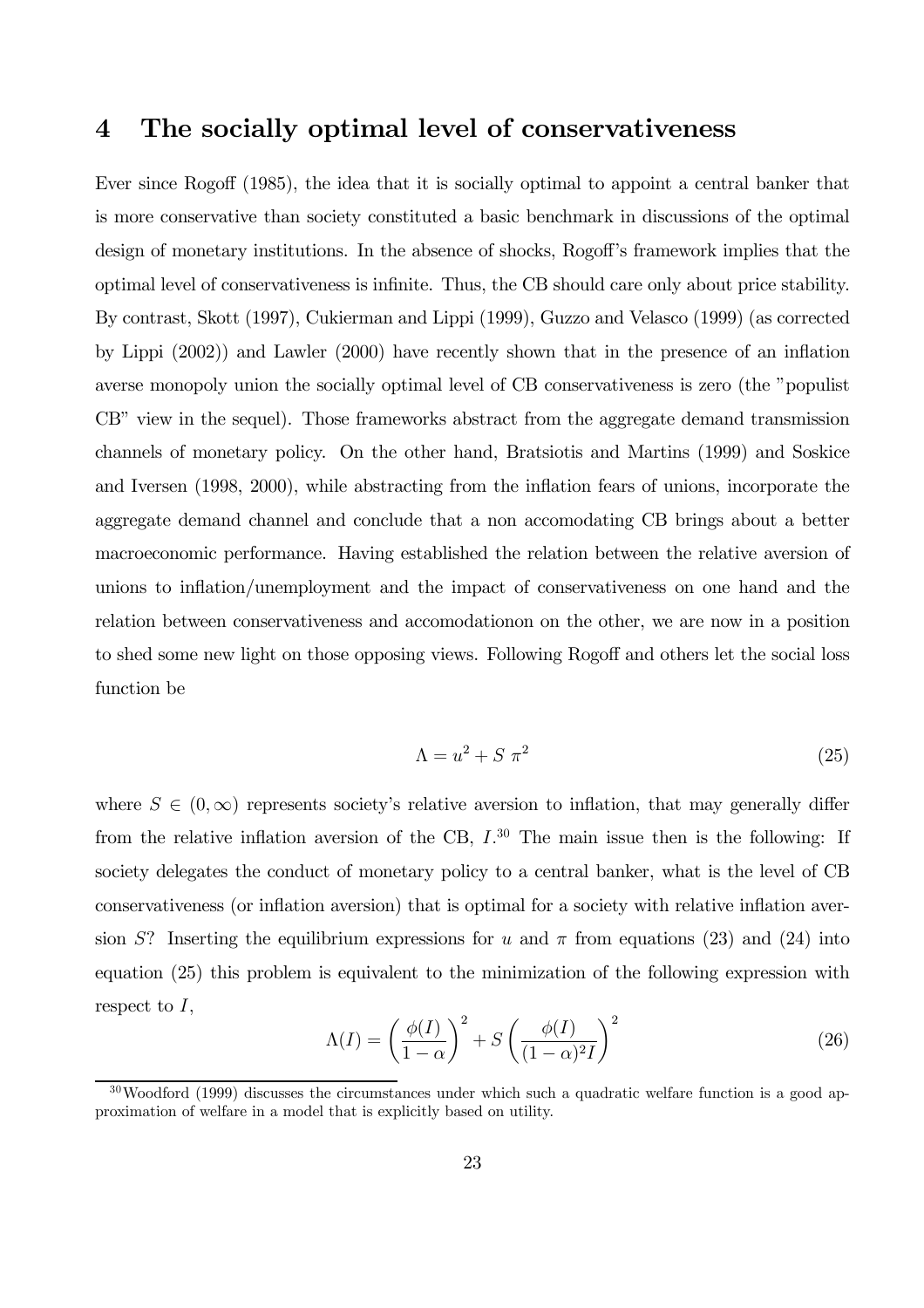# 4 The socially optimal level of conservativeness

Ever since Rogoff (1985), the idea that it is socially optimal to appoint a central banker that is more conservative than society constituted a basic benchmark in discussions of the optimal design of monetary institutions. In the absence of shocks, Rogoff's framework implies that the optimal level of conservativeness is infinite. Thus, the CB should care only about price stability. By contrast, Skott (1997), Cukierman and Lippi (1999), Guzzo and Velasco (1999) (as corrected by Lippi (2002)) and Lawler (2000) have recently shown that in the presence of an inflation averse monopoly union the socially optimal level of CB conservativeness is zero (the "populist CB" view in the sequel). Those frameworks abstract from the aggregate demand transmission channels of monetary policy. On the other hand, Bratsiotis and Martins (1999) and Soskice and Iversen (1998, 2000), while abstracting from the inflation fears of unions, incorporate the aggregate demand channel and conclude that a non accomodating CB brings about a better macroeconomic performance. Having established the relation between the relative aversion of unions to inflation/unemployment and the impact of conservativeness on one hand and the relation between conservativeness and accomodationon on the other, we are now in a position to shed some new light on those opposing views. Following Rogoff and others let the social loss function be

$$
\Lambda = u^2 + S \pi^2 \tag{25}
$$

where  $S \in (0,\infty)$  represents society's relative aversion to inflation, that may generally differ from the relative inflation aversion of the CB,  $I^{30}$ . The main issue then is the following: If society delegates the conduct of monetary policy to a central banker, what is the level of CB conservativeness (or inflation aversion) that is optimal for a society with relative inflation aversion S? Inserting the equilibrium expressions for u and  $\pi$  from equations (23) and (24) into equation (25) this problem is equivalent to the minimization of the following expression with respect to  $I$ ,

$$
\Lambda(I) = \left(\frac{\phi(I)}{1-\alpha}\right)^2 + S\left(\frac{\phi(I)}{(1-\alpha)^2I}\right)^2\tag{26}
$$

 $30$ Woodford (1999) discusses the circumstances under which such a quadratic welfare function is a good approximation of welfare in a model that is explicitly based on utility.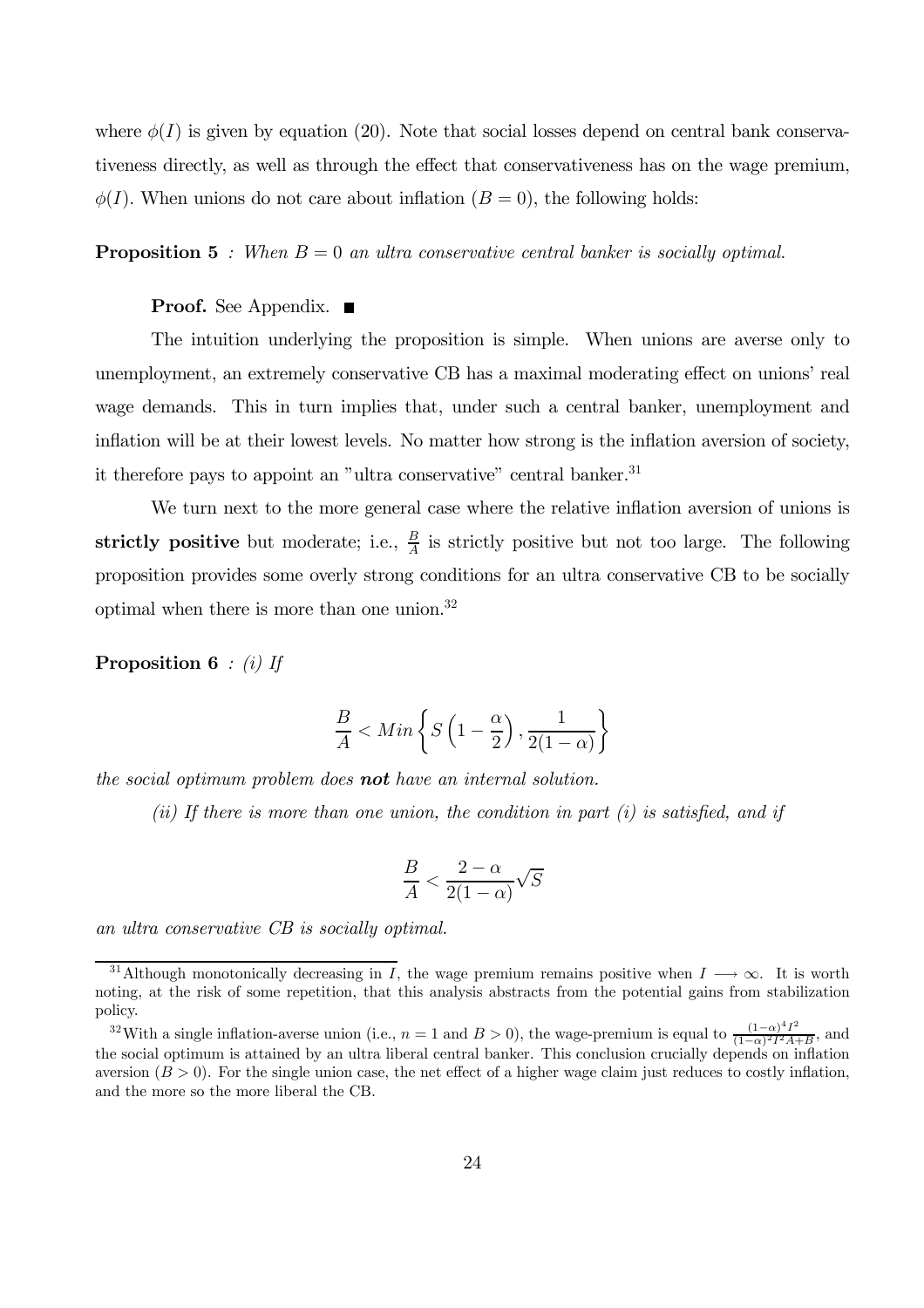where  $\phi(I)$  is given by equation (20). Note that social losses depend on central bank conservativeness directly, as well as through the effect that conservativeness has on the wage premium,  $\phi(I)$ . When unions do not care about inflation  $(B = 0)$ , the following holds:

#### **Proposition 5** : When  $B = 0$  an ultra conservative central banker is socially optimal.

### **Proof.** See Appendix.  $\blacksquare$

The intuition underlying the proposition is simple. When unions are averse only to unemployment, an extremely conservative CB has a maximal moderating effect on unions' real wage demands. This in turn implies that, under such a central banker, unemployment and inflation will be at their lowest levels. No matter how strong is the inflation aversion of society, it therefore pays to appoint an "ultra conservative" central banker.<sup>31</sup>

We turn next to the more general case where the relative inflation aversion of unions is strictly positive but moderate; i.e.,  $\frac{B}{A}$  is strictly positive but not too large. The following proposition provides some overly strong conditions for an ultra conservative CB to be socially optimal when there is more than one union.32

**Proposition 6** : (i) If

$$
\frac{B}{A} < Min\left\{S\left(1 - \frac{\alpha}{2}\right), \frac{1}{2(1 - \alpha)}\right\}
$$

the social optimum problem does **not** have an internal solution.

(ii) If there is more than one union, the condition in part  $(i)$  is satisfied, and if

$$
\frac{B}{A} < \frac{2-\alpha}{2(1-\alpha)}\sqrt{S}
$$

an ultra conservative CB is socially optimal.

<sup>&</sup>lt;sup>31</sup>Although monotonically decreasing in I, the wage premium remains positive when  $I \rightarrow \infty$ . It is worth noting, at the risk of some repetition, that this analysis abstracts from the potential gains from stabilization policy.

<sup>&</sup>lt;sup>32</sup>With a single inflation-averse union (i.e.,  $n = 1$  and  $B > 0$ ), the wage-premium is equal to  $\frac{(1-\alpha)^4 I^2}{(1-\alpha)^2 I^2 A + B}$ , and the social optimum is attained by an ultra liberal central banker. This conclusion crucially depends on inflation aversion  $(B > 0)$ . For the single union case, the net effect of a higher wage claim just reduces to costly inflation, and the more so the more liberal the CB.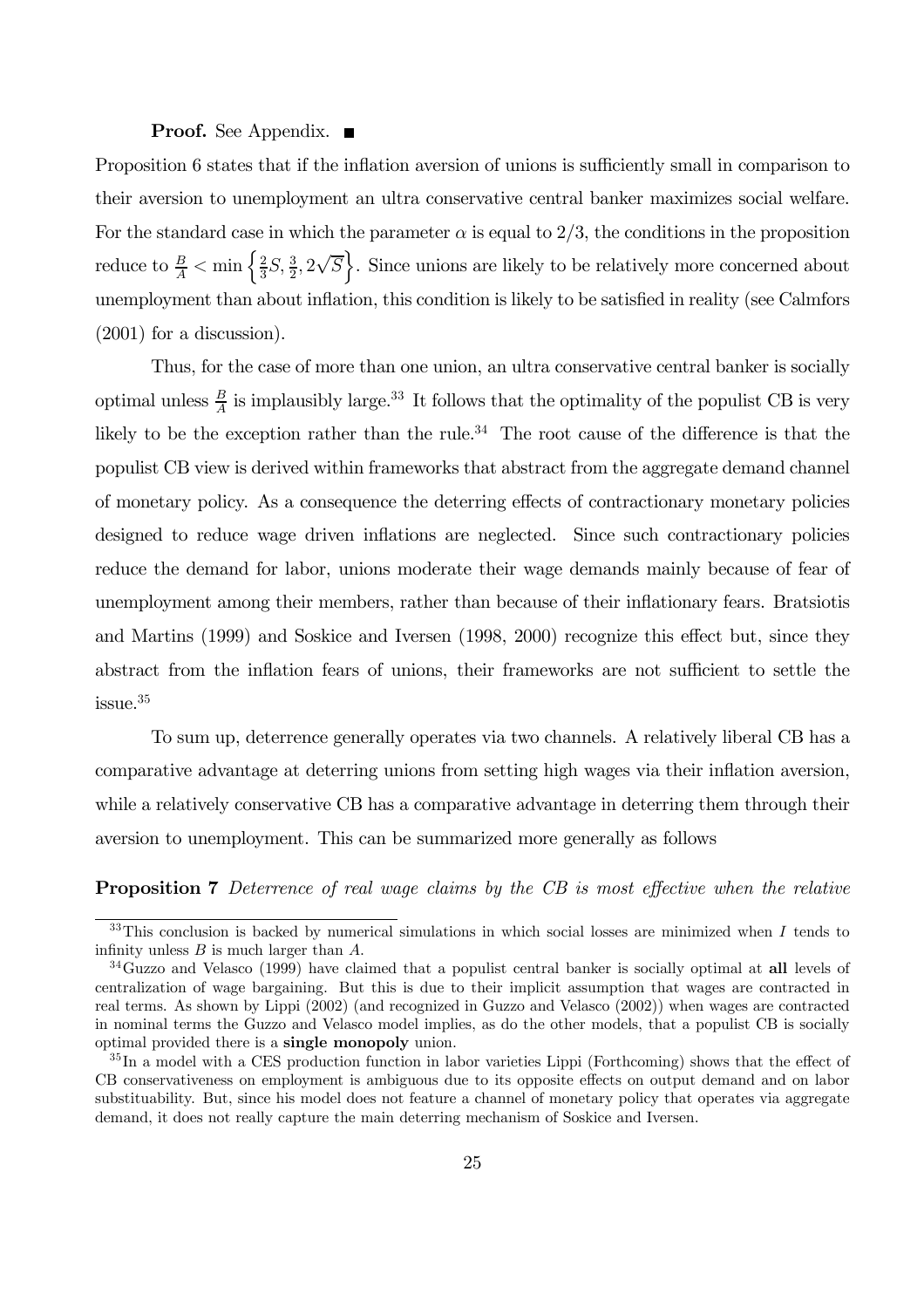### **Proof.** See Appendix.  $\blacksquare$

Proposition 6 states that if the inflation aversion of unions is sufficiently small in comparison to their aversion to unemployment an ultra conservative central banker maximizes social welfare. For the standard case in which the parameter  $\alpha$  is equal to 2/3, the conditions in the proposition reduce to  $\frac{B}{A} < \min\left\{\frac{2}{3}S, \frac{3}{2}, 2\sqrt{S}\right\}$ . Since unions are likely to be relatively more concerned about unemployment than about inflation, this condition is likely to be satisfied in reality (see Calmfors (2001) for a discussion).

Thus, for the case of more than one union, an ultra conservative central banker is socially optimal unless  $\frac{B}{A}$  is implausibly large.<sup>33</sup> It follows that the optimality of the populist CB is very likely to be the exception rather than the rule.<sup>34</sup> The root cause of the difference is that the populist CB view is derived within frameworks that abstract from the aggregate demand channel of monetary policy. As a consequence the deterring effects of contractionary monetary policies designed to reduce wage driven inflations are neglected. Since such contractionary policies reduce the demand for labor, unions moderate their wage demands mainly because of fear of unemployment among their members, rather than because of their inflationary fears. Bratsiotis and Martins (1999) and Soskice and Iversen (1998, 2000) recognize this effect but, since they abstract from the inflation fears of unions, their frameworks are not sufficient to settle the issue.35

To sum up, deterrence generally operates via two channels. A relatively liberal CB has a comparative advantage at deterring unions from setting high wages via their inflation aversion, while a relatively conservative CB has a comparative advantage in deterring them through their aversion to unemployment. This can be summarized more generally as follows

**Proposition 7** Deterrence of real wage claims by the CB is most effective when the relative

 $33$ This conclusion is backed by numerical simulations in which social losses are minimized when I tends to infinity unless  $B$  is much larger than  $A$ .

<sup>&</sup>lt;sup>34</sup>Guzzo and Velasco (1999) have claimed that a populist central banker is socially optimal at all levels of centralization of wage bargaining. But this is due to their implicit assumption that wages are contracted in real terms. As shown by Lippi (2002) (and recognized in Guzzo and Velasco (2002)) when wages are contracted in nominal terms the Guzzo and Velasco model implies, as do the other models, that a populist CB is socially optimal provided there is a single monopoly union.

<sup>&</sup>lt;sup>35</sup>In a model with a CES production function in labor varieties Lippi (Forthcoming) shows that the effect of CB conservativeness on employment is ambiguous due to its opposite effects on output demand and on labor substituability. But, since his model does not feature a channel of monetary policy that operates via aggregate demand, it does not really capture the main deterring mechanism of Soskice and Iversen.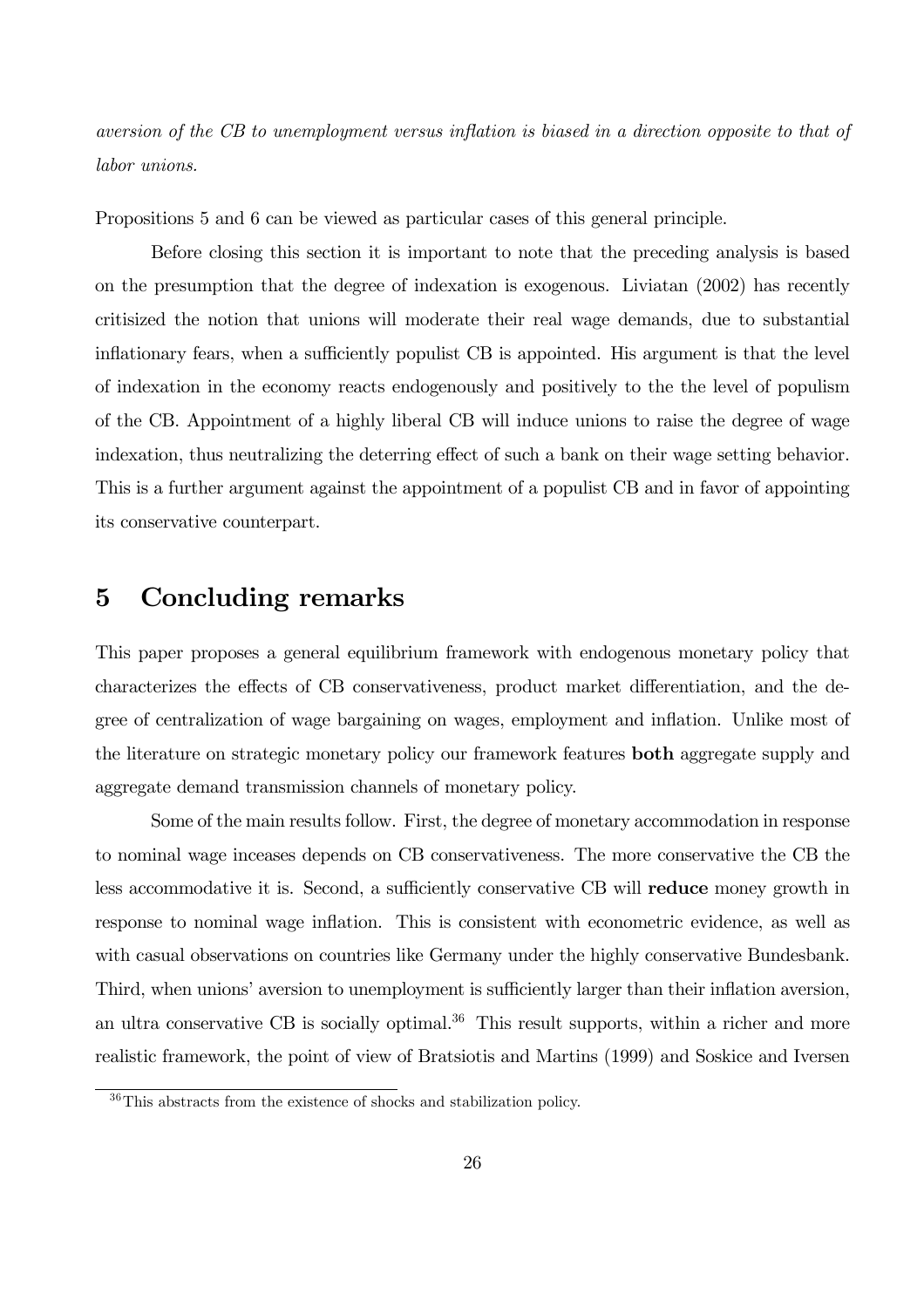aversion of the CB to unemployment versus inflation is biased in a direction opposite to that of labor unions.

Propositions 5 and 6 can be viewed as particular cases of this general principle.

Before closing this section it is important to note that the preceding analysis is based on the presumption that the degree of indexation is exogenous. Liviatan (2002) has recently critisized the notion that unions will moderate their real wage demands, due to substantial inflationary fears, when a sufficiently populist CB is appointed. His argument is that the level of indexation in the economy reacts endogenously and positively to the the level of populism of the CB. Appointment of a highly liberal CB will induce unions to raise the degree of wage indexation, thus neutralizing the deterring effect of such a bank on their wage setting behavior. This is a further argument against the appointment of a populist CB and in favor of appointing its conservative counterpart.

### 5 Concluding remarks

This paper proposes a general equilibrium framework with endogenous monetary policy that characterizes the effects of CB conservativeness, product market differentiation, and the degree of centralization of wage bargaining on wages, employment and inflation. Unlike most of the literature on strategic monetary policy our framework features **both** aggregate supply and aggregate demand transmission channels of monetary policy.

Some of the main results follow. First, the degree of monetary accommodation in response to nominal wage inceases depends on CB conservativeness. The more conservative the CB the less accommodative it is. Second, a sufficiently conservative CB will reduce money growth in response to nominal wage inflation. This is consistent with econometric evidence, as well as with casual observations on countries like Germany under the highly conservative Bundesbank. Third, when unions' aversion to unemployment is sufficiently larger than their inflation aversion, an ultra conservative CB is socially optimal.<sup>36</sup> This result supports, within a richer and more realistic framework, the point of view of Bratsiotis and Martins (1999) and Soskice and Iversen

<sup>36</sup>This abstracts from the existence of shocks and stabilization policy.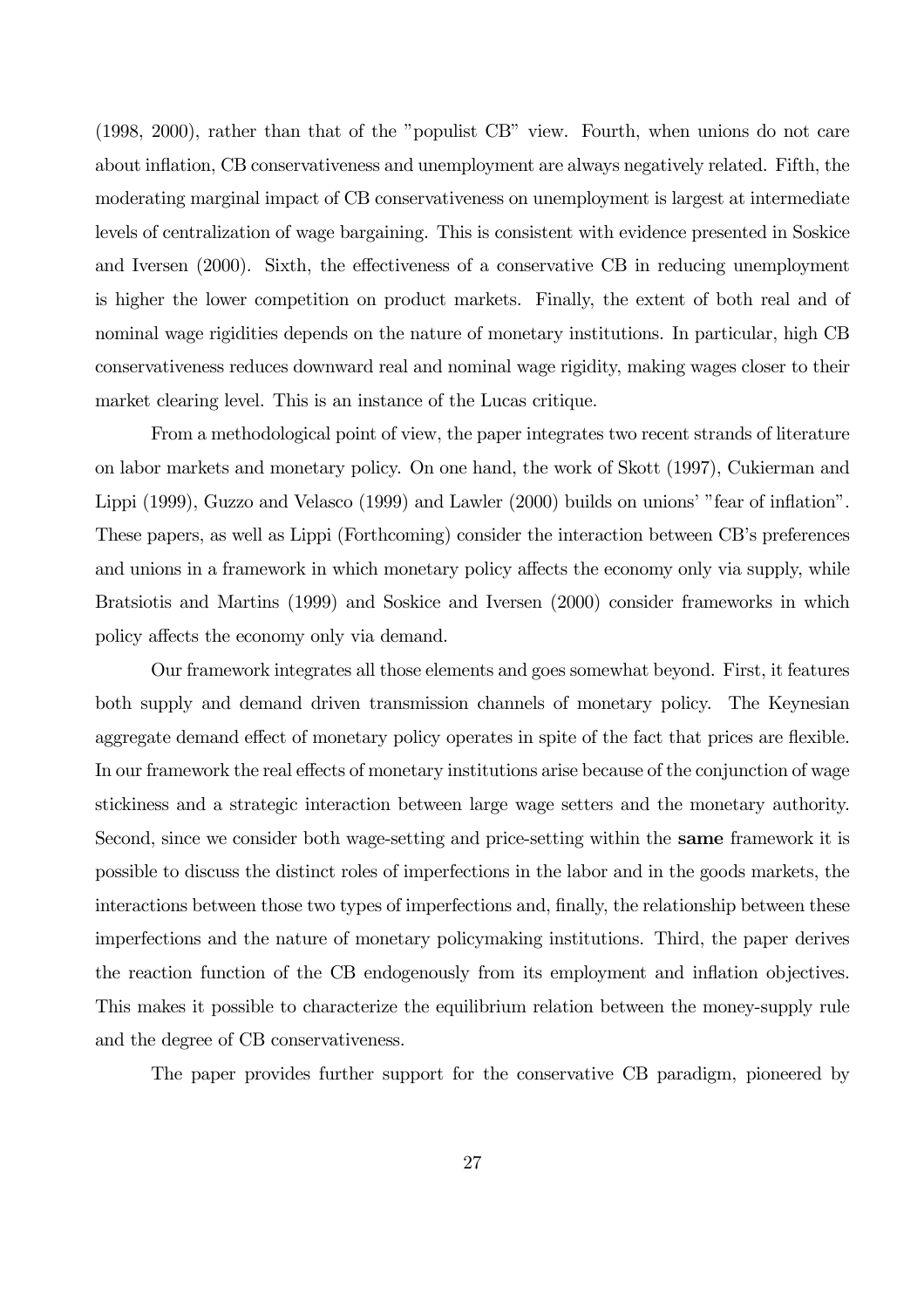(1998, 2000), rather than that of the "populist CB" view. Fourth, when unions do not care about inflation, CB conservativeness and unemployment are always negatively related. Fifth, the moderating marginal impact of CB conservativeness on unemployment is largest at intermediate levels of centralization of wage bargaining. This is consistent with evidence presented in Soskice and Iversen (2000). Sixth, the effectiveness of a conservative CB in reducing unemployment is higher the lower competition on product markets. Finally, the extent of both real and of nominal wage rigidities depends on the nature of monetary institutions. In particular, high CB conservativeness reduces downward real and nominal wage rigidity, making wages closer to their market clearing level. This is an instance of the Lucas critique.

From a methodological point of view, the paper integrates two recent strands of literature on labor markets and monetary policy. On one hand, the work of Skott (1997), Cukierman and Lippi (1999), Guzzo and Velasco (1999) and Lawler (2000) builds on unions' "fear of inflation". These papers, as well as Lippi (Forthcoming) consider the interaction between CB's preferences and unions in a framework in which monetary policy affects the economy only via supply, while Bratsiotis and Martins (1999) and Soskice and Iversen (2000) consider frameworks in which policy affects the economy only via demand.

Our framework integrates all those elements and goes somewhat beyond. First, it features both supply and demand driven transmission channels of monetary policy. The Keynesian aggregate demand effect of monetary policy operates in spite of the fact that prices are flexible. In our framework the real effects of monetary institutions arise because of the conjunction of wage stickiness and a strategic interaction between large wage setters and the monetary authority. Second, since we consider both wage-setting and price-setting within the same framework it is possible to discuss the distinct roles of imperfections in the labor and in the goods markets, the interactions between those two types of imperfections and, finally, the relationship between these imperfections and the nature of monetary policymaking institutions. Third, the paper derives the reaction function of the CB endogenously from its employment and inflation objectives. This makes it possible to characterize the equilibrium relation between the money-supply rule and the degree of CB conservativeness.

The paper provides further support for the conservative CB paradigm, pioneered by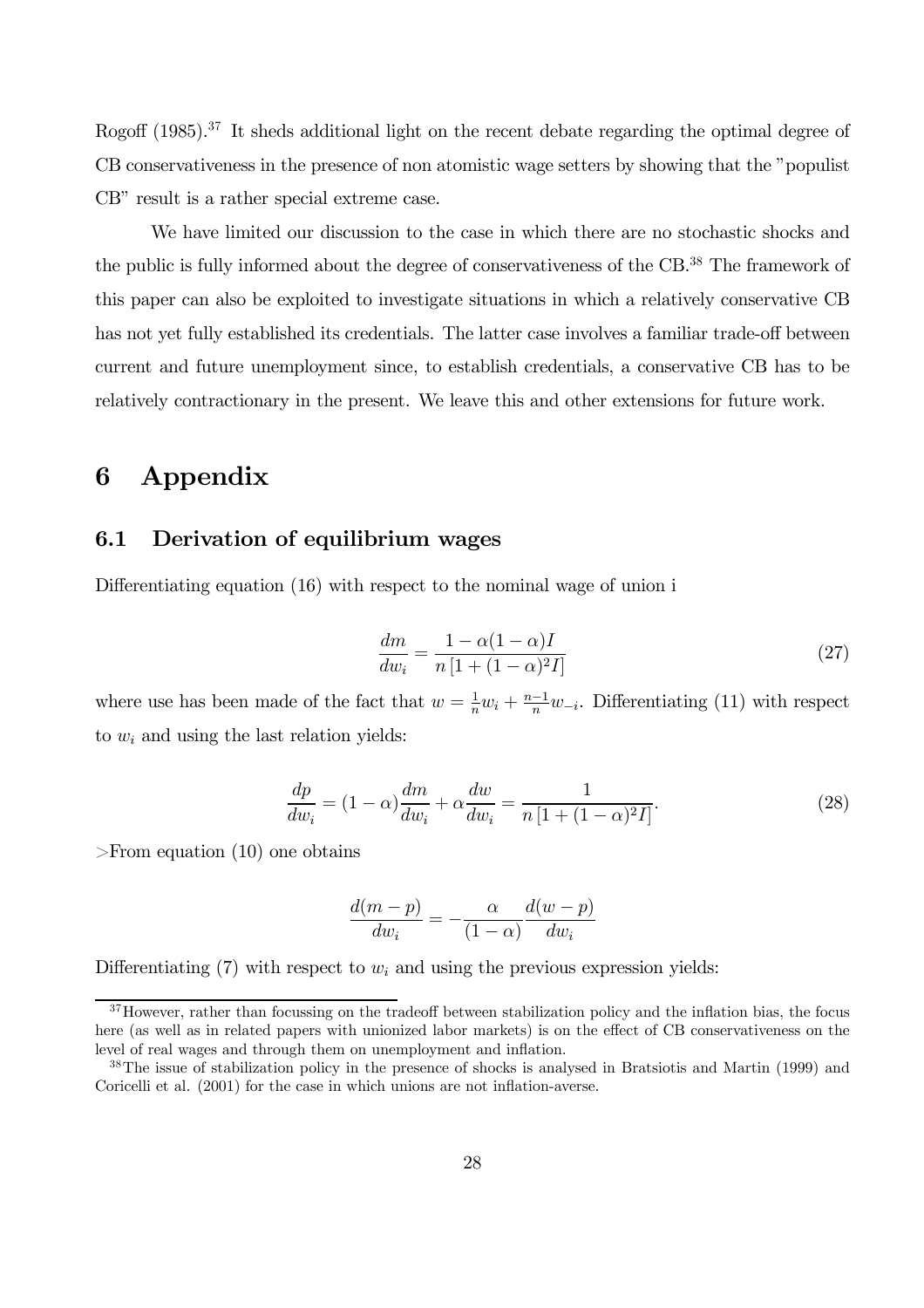Rogoff (1985).<sup>37</sup> It sheds additional light on the recent debate regarding the optimal degree of CB conservativeness in the presence of non atomistic wage setters by showing that the "populist CB" result is a rather special extreme case.

We have limited our discussion to the case in which there are no stochastic shocks and the public is fully informed about the degree of conservativeness of the CB.<sup>38</sup> The framework of this paper can also be exploited to investigate situations in which a relatively conservative CB has not yet fully established its credentials. The latter case involves a familiar trade-off between current and future unemployment since, to establish credentials, a conservative CB has to be relatively contractionary in the present. We leave this and other extensions for future work.

### 6 Appendix

### 6.1 Derivation of equilibrium wages

Differentiating equation (16) with respect to the nominal wage of union i

$$
\frac{dm}{dw_i} = \frac{1 - \alpha(1 - \alpha)I}{n\left[1 + (1 - \alpha)^2 I\right]}
$$
\n(27)

where use has been made of the fact that  $w = \frac{1}{n}w_i + \frac{n-1}{n}w_{-i}$ . Differentiating (11) with respect to  $w_i$  and using the last relation yields:

$$
\frac{dp}{dw_i} = (1 - \alpha) \frac{dm}{dw_i} + \alpha \frac{dw}{dw_i} = \frac{1}{n \left[ 1 + (1 - \alpha)^2 I \right]}.
$$
\n(28)

>From equation (10) one obtains

$$
\frac{d(m-p)}{dw_i} = -\frac{\alpha}{(1-\alpha)} \frac{d(w-p)}{dw_i}
$$

Differentiating  $(7)$  with respect to  $w_i$  and using the previous expression yields:

<sup>&</sup>lt;sup>37</sup>However, rather than focussing on the tradeoff between stabilization policy and the inflation bias, the focus here (as well as in related papers with unionized labor markets) is on the effect of CB conservativeness on the level of real wages and through them on unemployment and inflation.

<sup>38</sup>The issue of stabilization policy in the presence of shocks is analysed in Bratsiotis and Martin (1999) and Coricelli et al. (2001) for the case in which unions are not inflation-averse.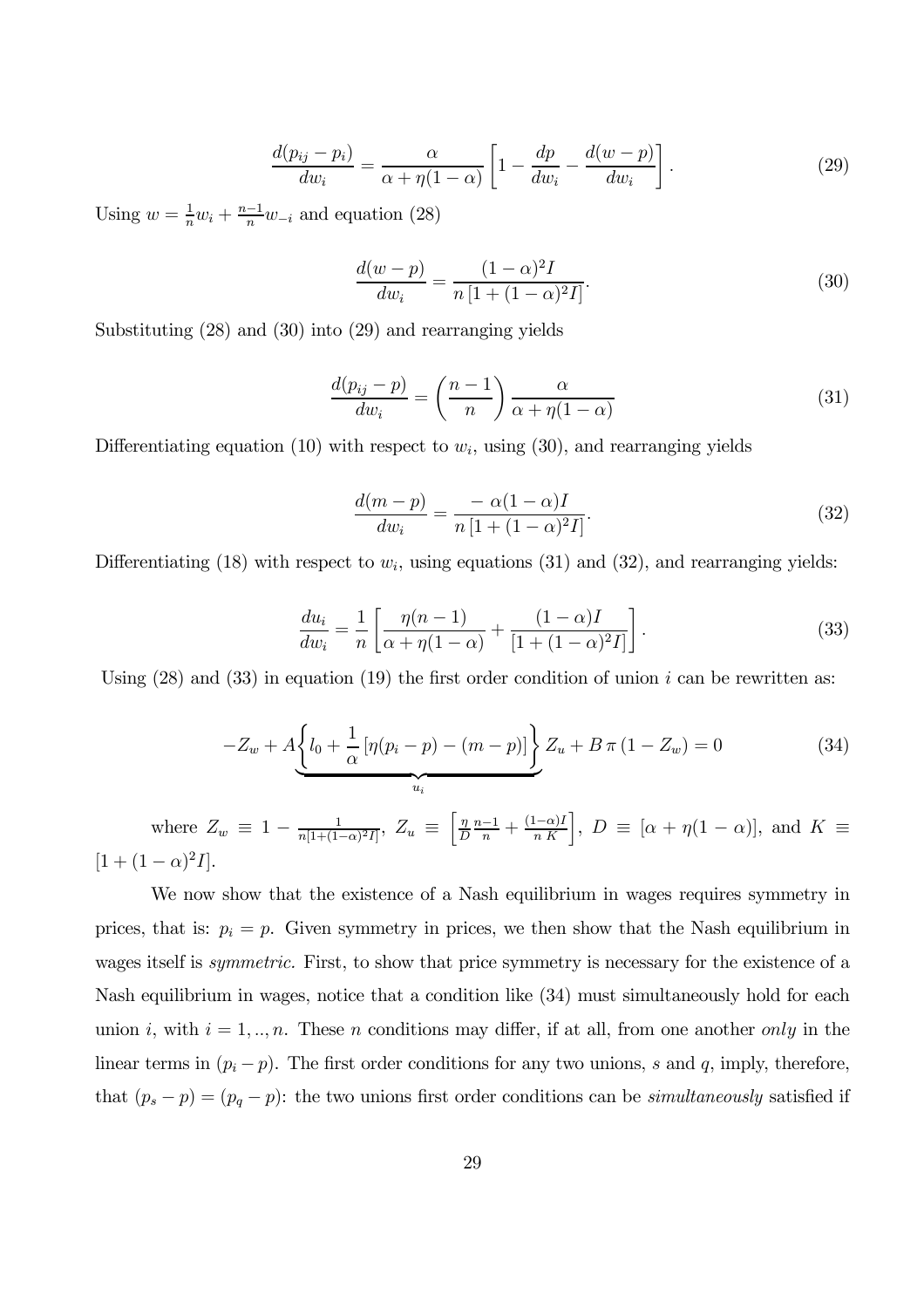$$
\frac{d(p_{ij} - p_i)}{dw_i} = \frac{\alpha}{\alpha + \eta(1 - \alpha)} \left[ 1 - \frac{dp}{dw_i} - \frac{d(w - p)}{dw_i} \right].
$$
\n(29)

Using  $w = \frac{1}{n}w_i + \frac{n-1}{n}w_{-i}$  and equation (28)

$$
\frac{d(w-p)}{dw_i} = \frac{(1-\alpha)^2 I}{n [1 + (1-\alpha)^2 I]}.
$$
\n(30)

Substituting (28) and (30) into (29) and rearranging yields

$$
\frac{d(p_{ij} - p)}{dw_i} = \left(\frac{n-1}{n}\right)\frac{\alpha}{\alpha + \eta(1-\alpha)}\tag{31}
$$

Differentiating equation (10) with respect to  $w_i$ , using (30), and rearranging yields

$$
\frac{d(m-p)}{dw_i} = \frac{-\alpha(1-\alpha)I}{n[1+(1-\alpha)^2I]}.
$$
\n(32)

Differentiating (18) with respect to  $w_i$ , using equations (31) and (32), and rearranging yields:

$$
\frac{du_i}{dw_i} = \frac{1}{n} \left[ \frac{\eta(n-1)}{\alpha + \eta(1-\alpha)} + \frac{(1-\alpha)I}{[1 + (1-\alpha)^2 I]} \right].
$$
\n(33)

Using  $(28)$  and  $(33)$  in equation  $(19)$  the first order condition of union i can be rewritten as:

$$
-Z_w + A \underbrace{\left\{ l_0 + \frac{1}{\alpha} \left[ \eta (p_i - p) - (m - p) \right] \right\}}_{u_i} Z_u + B \pi (1 - Z_w) = 0 \tag{34}
$$

where  $Z_w \equiv 1 - \frac{1}{n[1 + (1 - \alpha)^2 I]}, Z_u \equiv \left[\frac{\eta}{L}\right]$  $\frac{\eta}{D} \frac{n-1}{n} + \frac{(1-\alpha)I}{n K}$ ,  $D \equiv [\alpha + \eta(1-\alpha)]$ , and  $K \equiv$  $[1 + (1 - \alpha)^2 I].$ 

We now show that the existence of a Nash equilibrium in wages requires symmetry in prices, that is:  $p_i = p$ . Given symmetry in prices, we then show that the Nash equilibrium in wages itself is symmetric. First, to show that price symmetry is necessary for the existence of a Nash equilibrium in wages, notice that a condition like (34) must simultaneously hold for each union i, with  $i = 1, ..., n$ . These n conditions may differ, if at all, from one another only in the linear terms in  $(p_i - p)$ . The first order conditions for any two unions, s and q, imply, therefore, that  $(p_s - p) = (p_q - p)$ : the two unions first order conditions can be *simultaneously* satisfied if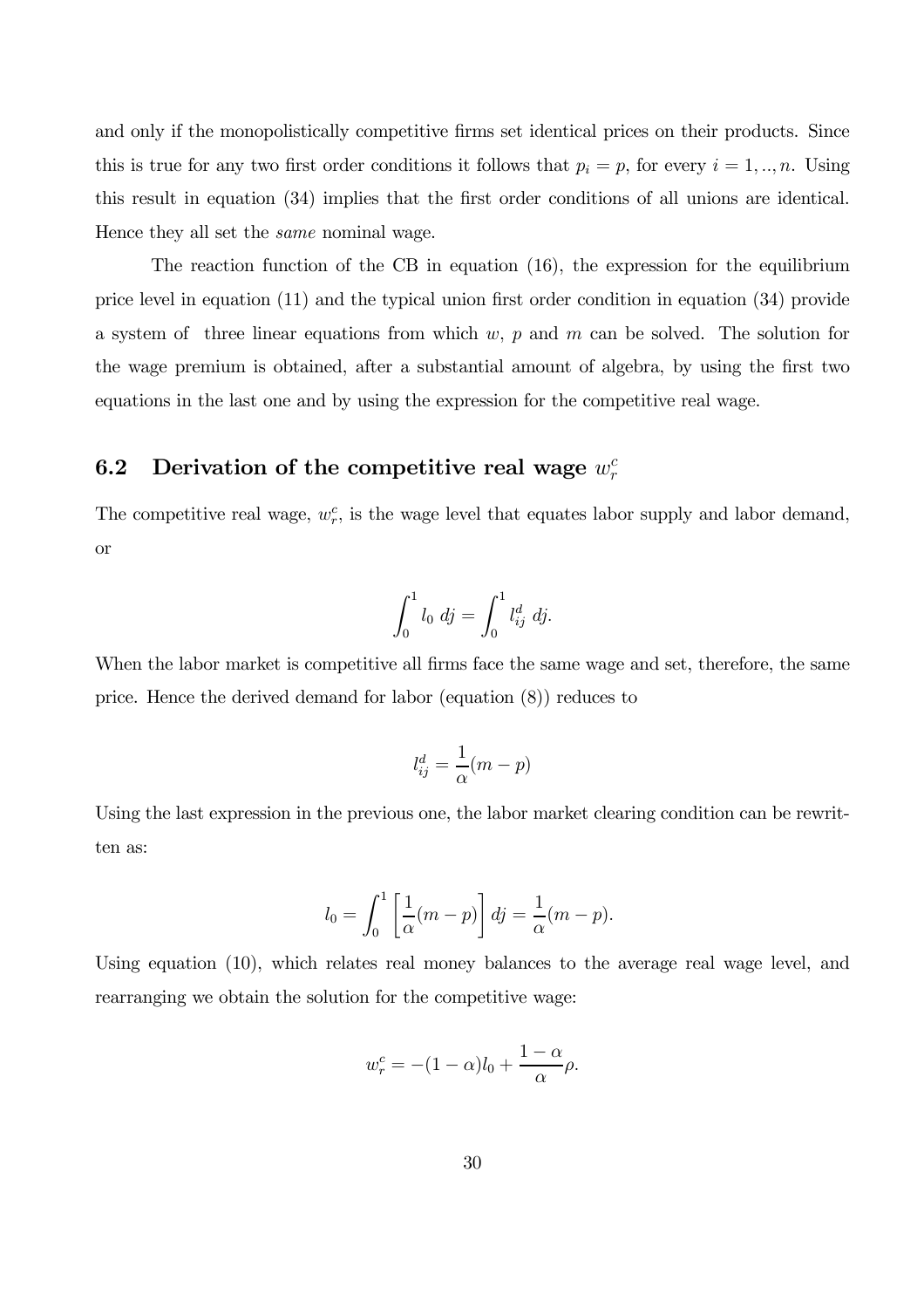and only if the monopolistically competitive firms set identical prices on their products. Since this is true for any two first order conditions it follows that  $p_i = p$ , for every  $i = 1, ..., n$ . Using this result in equation (34) implies that the first order conditions of all unions are identical. Hence they all set the same nominal wage.

The reaction function of the CB in equation (16), the expression for the equilibrium price level in equation (11) and the typical union first order condition in equation (34) provide a system of three linear equations from which w,  $p$  and  $m$  can be solved. The solution for the wage premium is obtained, after a substantial amount of algebra, by using the first two equations in the last one and by using the expression for the competitive real wage.

# 6.2 Derivation of the competitive real wage  $w_r^c$

The competitive real wage,  $w_r^c$ , is the wage level that equates labor supply and labor demand, or

$$
\int_0^1 l_0 \, dj = \int_0^1 l_{ij}^d \, dj.
$$

When the labor market is competitive all firms face the same wage and set, therefore, the same price. Hence the derived demand for labor (equation (8)) reduces to

$$
l_{ij}^d = \frac{1}{\alpha}(m-p)
$$

Using the last expression in the previous one, the labor market clearing condition can be rewritten as:

$$
l_0 = \int_0^1 \left[ \frac{1}{\alpha} (m - p) \right] dy = \frac{1}{\alpha} (m - p).
$$

Using equation (10), which relates real money balances to the average real wage level, and rearranging we obtain the solution for the competitive wage:

$$
w_r^c = -(1 - \alpha)l_0 + \frac{1 - \alpha}{\alpha}\rho.
$$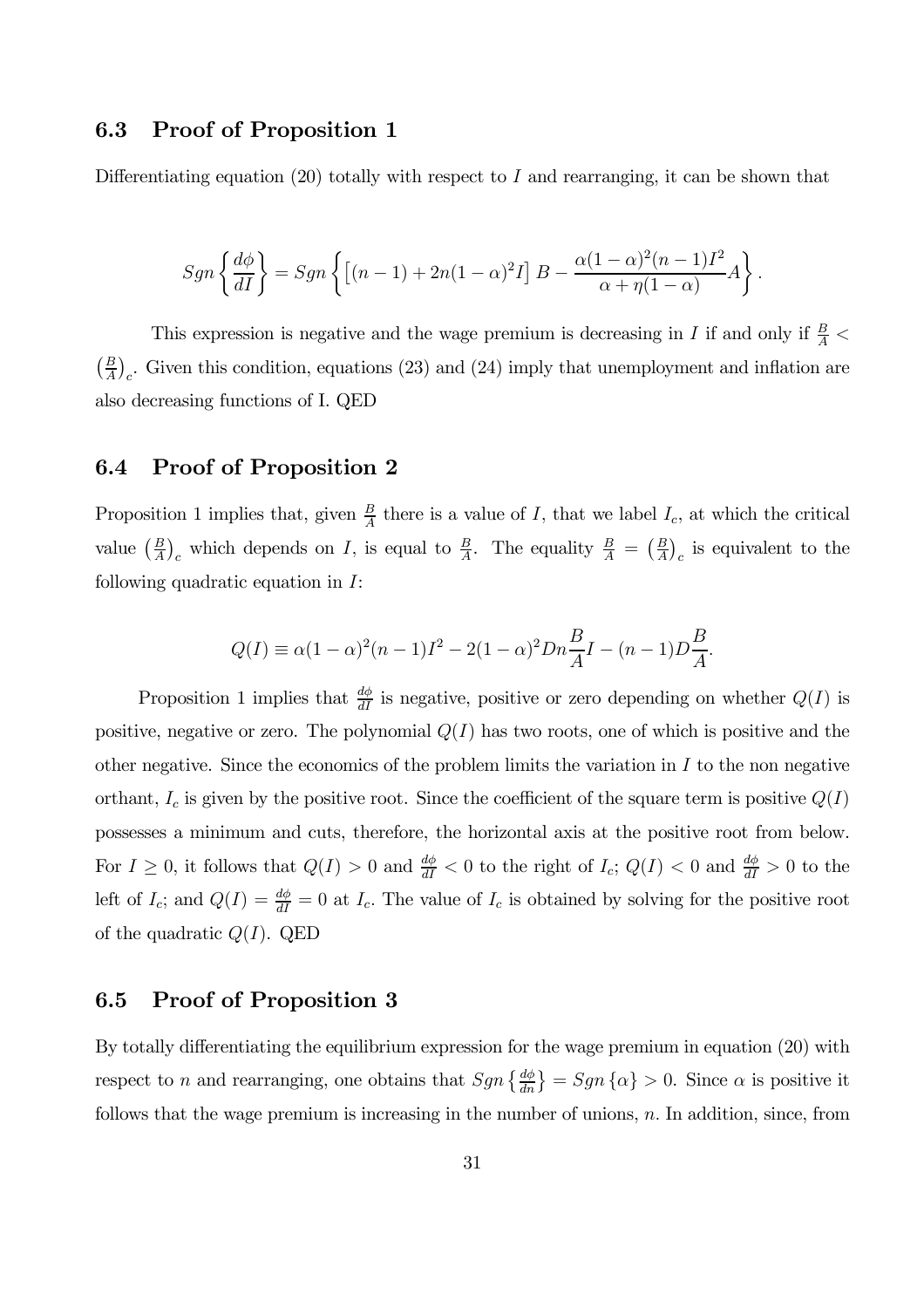### 6.3 Proof of Proposition 1

Differentiating equation  $(20)$  totally with respect to I and rearranging, it can be shown that

$$
Sgn\left\{\frac{d\phi}{dI}\right\} = Sgn\left\{\left[(n-1) + 2n(1-\alpha)^2I\right]B - \frac{\alpha(1-\alpha)^2(n-1)I^2}{\alpha + \eta(1-\alpha)}A\right\}.
$$

This expression is negative and the wage premium is decreasing in  $I$  if and only if  $\frac{B}{A}$  <  $\left(\frac{B}{A}\right)_c$ . Given this condition, equations (23) and (24) imply that unemployment and inflation are also decreasing functions of I. QED

### 6.4 Proof of Proposition 2

Proposition 1 implies that, given  $\frac{B}{A}$  there is a value of I, that we label  $I_c$ , at which the critical value  $\left(\frac{B}{A}\right)_c$  which depends on I, is equal to  $\frac{B}{A}$ . The equality  $\frac{B}{A} = \left(\frac{B}{A}\right)_c$  is equivalent to the following quadratic equation in I:

$$
Q(I) \equiv \alpha (1 - \alpha)^2 (n - 1)I^2 - 2(1 - \alpha)^2 D n \frac{B}{A} I - (n - 1)D \frac{B}{A}.
$$

Proposition 1 implies that  $\frac{d\phi}{dI}$  is negative, positive or zero depending on whether  $Q(I)$  is positive, negative or zero. The polynomial  $Q(I)$  has two roots, one of which is positive and the other negative. Since the economics of the problem limits the variation in  $I$  to the non negative orthant,  $I_c$  is given by the positive root. Since the coefficient of the square term is positive  $Q(I)$ possesses a minimum and cuts, therefore, the horizontal axis at the positive root from below. For  $I \geq 0$ , it follows that  $Q(I) > 0$  and  $\frac{d\phi}{dI} < 0$  to the right of  $I_c$ ;  $Q(I) < 0$  and  $\frac{d\phi}{dI} > 0$  to the left of  $I_c$ ; and  $Q(I) = \frac{d\phi}{dI} = 0$  at  $I_c$ . The value of  $I_c$  is obtained by solving for the positive root of the quadratic  $Q(I)$ . QED

### 6.5 Proof of Proposition 3

By totally differentiating the equilibrium expression for the wage premium in equation (20) with respect to n and rearranging, one obtains that  $Sgn\left\{\frac{d\phi}{dn}\right\} = Sgn\left\{\alpha\right\} > 0$ . Since  $\alpha$  is positive it follows that the wage premium is increasing in the number of unions,  $n$ . In addition, since, from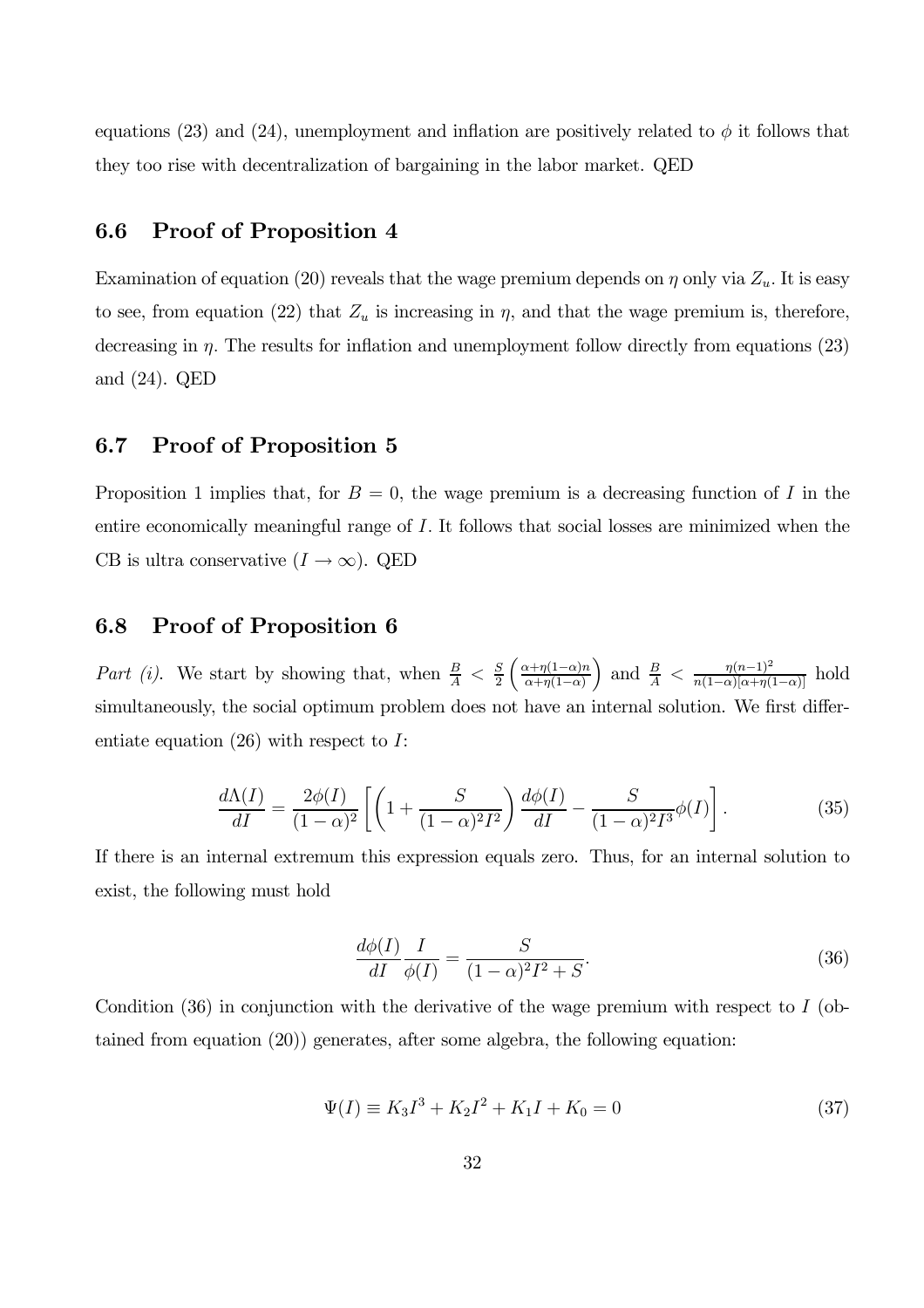equations (23) and (24), unemployment and inflation are positively related to  $\phi$  it follows that they too rise with decentralization of bargaining in the labor market. QED

### 6.6 Proof of Proposition 4

Examination of equation (20) reveals that the wage premium depends on  $\eta$  only via  $Z_u$ . It is easy to see, from equation (22) that  $Z_u$  is increasing in  $\eta$ , and that the wage premium is, therefore, decreasing in  $\eta$ . The results for inflation and unemployment follow directly from equations (23) and (24). QED

### 6.7 Proof of Proposition 5

Proposition 1 implies that, for  $B = 0$ , the wage premium is a decreasing function of I in the entire economically meaningful range of I. It follows that social losses are minimized when the CB is ultra conservative  $(I \to \infty)$ . QED

### 6.8 Proof of Proposition 6

Part (i). We start by showing that, when  $\frac{B}{A} < \frac{S}{2} \left( \frac{\alpha + \eta(1-\alpha)n}{\alpha + \eta(1-\alpha)} \right)$  $\alpha+\eta(1-\alpha)$ ) and  $\frac{B}{A} < \frac{\eta (n-1)^2}{n(1-\alpha)[\alpha+\eta(1-\alpha)]}$  hold simultaneously, the social optimum problem does not have an internal solution. We first differentiate equation  $(26)$  with respect to I:

$$
\frac{d\Lambda(I)}{dI} = \frac{2\phi(I)}{(1-\alpha)^2} \left[ \left( 1 + \frac{S}{(1-\alpha)^2 I^2} \right) \frac{d\phi(I)}{dI} - \frac{S}{(1-\alpha)^2 I^3} \phi(I) \right].
$$
 (35)

If there is an internal extremum this expression equals zero. Thus, for an internal solution to exist, the following must hold

$$
\frac{d\phi(I)}{dI}\frac{I}{\phi(I)} = \frac{S}{(1-\alpha)^2 I^2 + S}.\tag{36}
$$

Condition  $(36)$  in conjunction with the derivative of the wage premium with respect to I (obtained from equation (20)) generates, after some algebra, the following equation:

$$
\Psi(I) \equiv K_3 I^3 + K_2 I^2 + K_1 I + K_0 = 0 \tag{37}
$$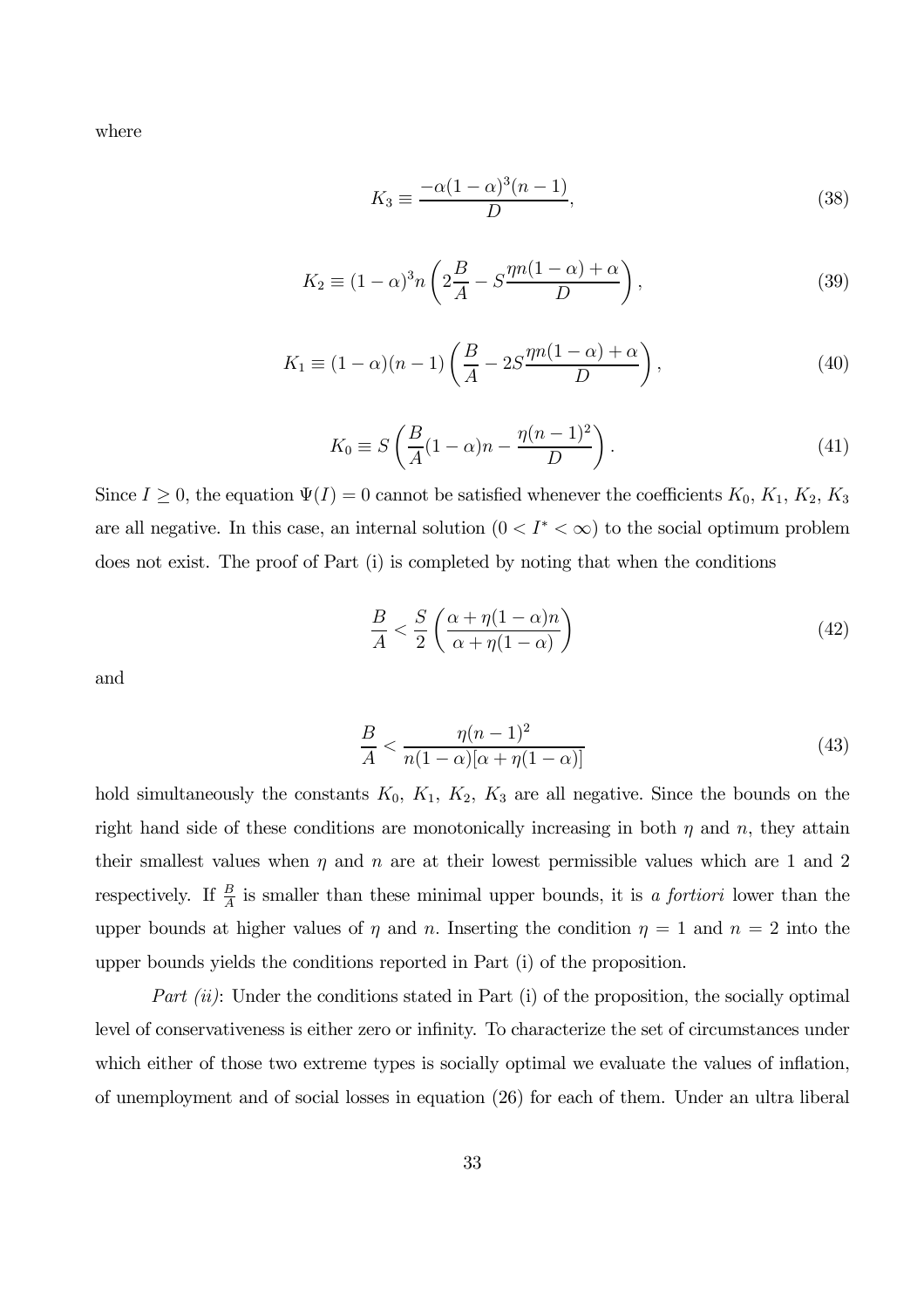where

$$
K_3 \equiv \frac{-\alpha (1 - \alpha)^3 (n - 1)}{D},\tag{38}
$$

$$
K_2 \equiv (1 - \alpha)^3 n \left( 2\frac{B}{A} - S\frac{\eta n (1 - \alpha) + \alpha}{D} \right),\tag{39}
$$

$$
K_1 \equiv (1 - \alpha)(n - 1) \left( \frac{B}{A} - 2S \frac{\eta n (1 - \alpha) + \alpha}{D} \right),\tag{40}
$$

$$
K_0 \equiv S\left(\frac{B}{A}(1-\alpha)n - \frac{\eta(n-1)^2}{D}\right). \tag{41}
$$

Since  $I \geq 0$ , the equation  $\Psi(I)=0$  cannot be satisfied whenever the coefficients  $K_0, K_1, K_2, K_3$ are all negative. In this case, an internal solution  $(0 < I^* < \infty)$  to the social optimum problem does not exist. The proof of Part (i) is completed by noting that when the conditions

$$
\frac{B}{A} < \frac{S}{2} \left( \frac{\alpha + \eta (1 - \alpha) n}{\alpha + \eta (1 - \alpha)} \right) \tag{42}
$$

and

$$
\frac{B}{A} < \frac{\eta (n-1)^2}{n(1-\alpha)[\alpha + \eta (1-\alpha)]} \tag{43}
$$

hold simultaneously the constants  $K_0$ ,  $K_1$ ,  $K_2$ ,  $K_3$  are all negative. Since the bounds on the right hand side of these conditions are monotonically increasing in both  $\eta$  and  $n$ , they attain their smallest values when  $\eta$  and  $n$  are at their lowest permissible values which are 1 and 2 respectively. If  $\frac{B}{A}$  is smaller than these minimal upper bounds, it is a fortiori lower than the upper bounds at higher values of  $\eta$  and n. Inserting the condition  $\eta = 1$  and  $n = 2$  into the upper bounds yields the conditions reported in Part (i) of the proposition.

Part  $(ii)$ : Under the conditions stated in Part  $(i)$  of the proposition, the socially optimal level of conservativeness is either zero or infinity. To characterize the set of circumstances under which either of those two extreme types is socially optimal we evaluate the values of inflation, of unemployment and of social losses in equation (26) for each of them. Under an ultra liberal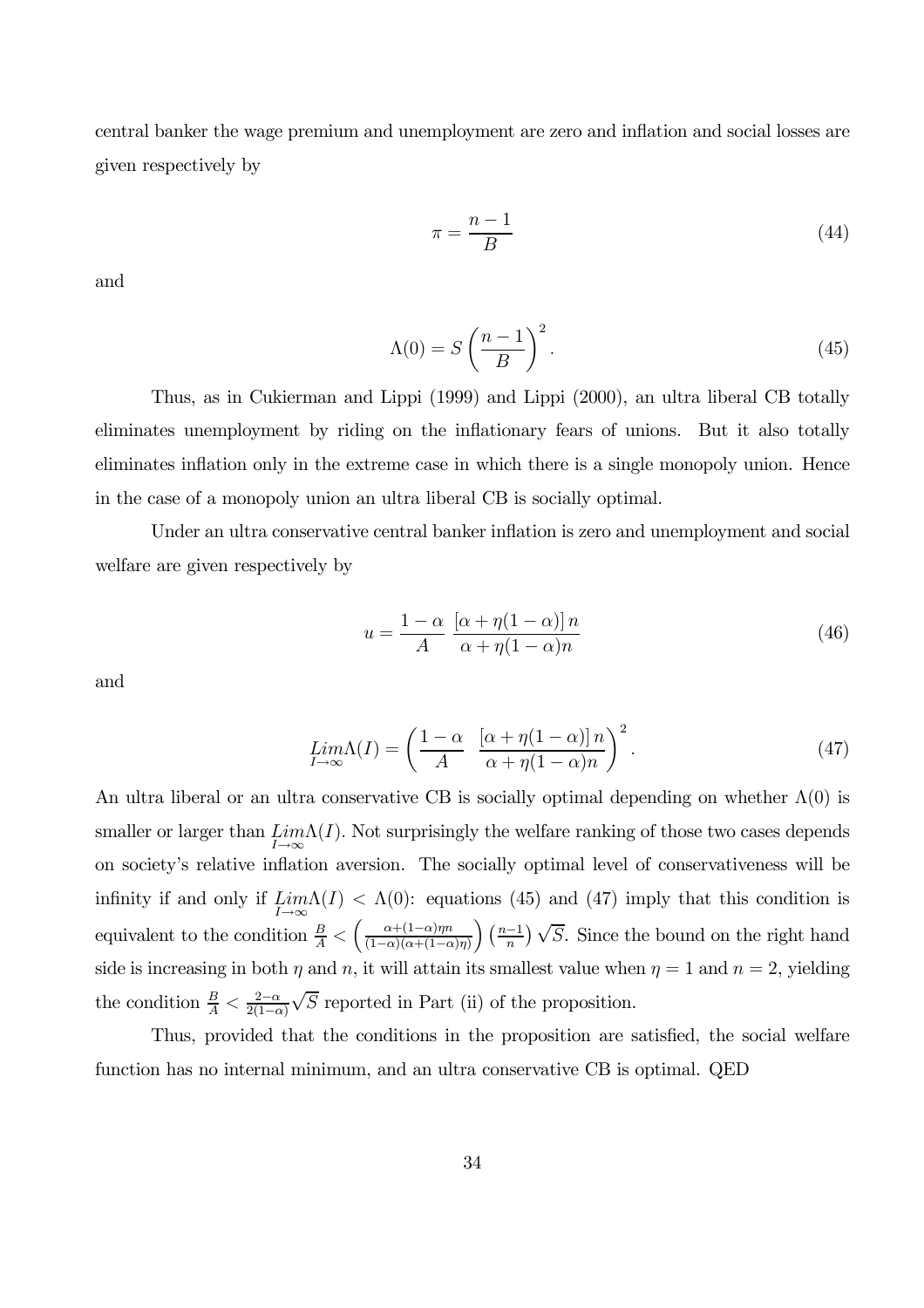central banker the wage premium and unemployment are zero and inflation and social losses are given respectively by

$$
\pi = \frac{n-1}{B} \tag{44}
$$

and

$$
\Lambda(0) = S\left(\frac{n-1}{B}\right)^2.
$$
\n(45)

Thus, as in Cukierman and Lippi (1999) and Lippi (2000), an ultra liberal CB totally eliminates unemployment by riding on the inflationary fears of unions. But it also totally eliminates inflation only in the extreme case in which there is a single monopoly union. Hence in the case of a monopoly union an ultra liberal CB is socially optimal.

Under an ultra conservative central banker inflation is zero and unemployment and social welfare are given respectively by

$$
u = \frac{1 - \alpha}{A} \frac{\left[\alpha + \eta(1 - \alpha)\right]n}{\alpha + \eta(1 - \alpha)n} \tag{46}
$$

and

$$
\lim_{I \to \infty} \Lambda(I) = \left(\frac{1-\alpha}{A} \left[ \frac{(\alpha + \eta(1-\alpha))n}{\alpha + \eta(1-\alpha)n} \right]^2 \right). \tag{47}
$$

An ultra liberal or an ultra conservative CB is socially optimal depending on whether  $\Lambda(0)$  is smaller or larger than  $\lim_{I\to\infty} \Lambda(I)$ . Not surprisingly the welfare ranking of those two cases depends on society's relative inflation aversion. The socially optimal level of conservativeness will be infinity if and only if  $\lim_{I\to\infty}\Lambda(I) < \Lambda(0)$ : equations (45) and (47) imply that this condition is equivalent to the condition  $\frac{B}{A} < \left(\frac{\alpha+(1-\alpha)\eta n}{(1-\alpha)(\alpha+(1-\alpha))}\right)$  $(1-\alpha)(\alpha+(1-\alpha)\eta)$  $\left(\frac{n-1}{n}\right)\sqrt{S}$ . Since the bound on the right hand side is increasing in both  $\eta$  and  $n$ , it will attain its smallest value when  $\eta = 1$  and  $n = 2$ , yielding the condition  $\frac{B}{A} < \frac{2-\alpha}{2(1-\alpha)}$  $\sqrt{S}$  reported in Part (ii) of the proposition.

Thus, provided that the conditions in the proposition are satisfied, the social welfare function has no internal minimum, and an ultra conservative CB is optimal. QED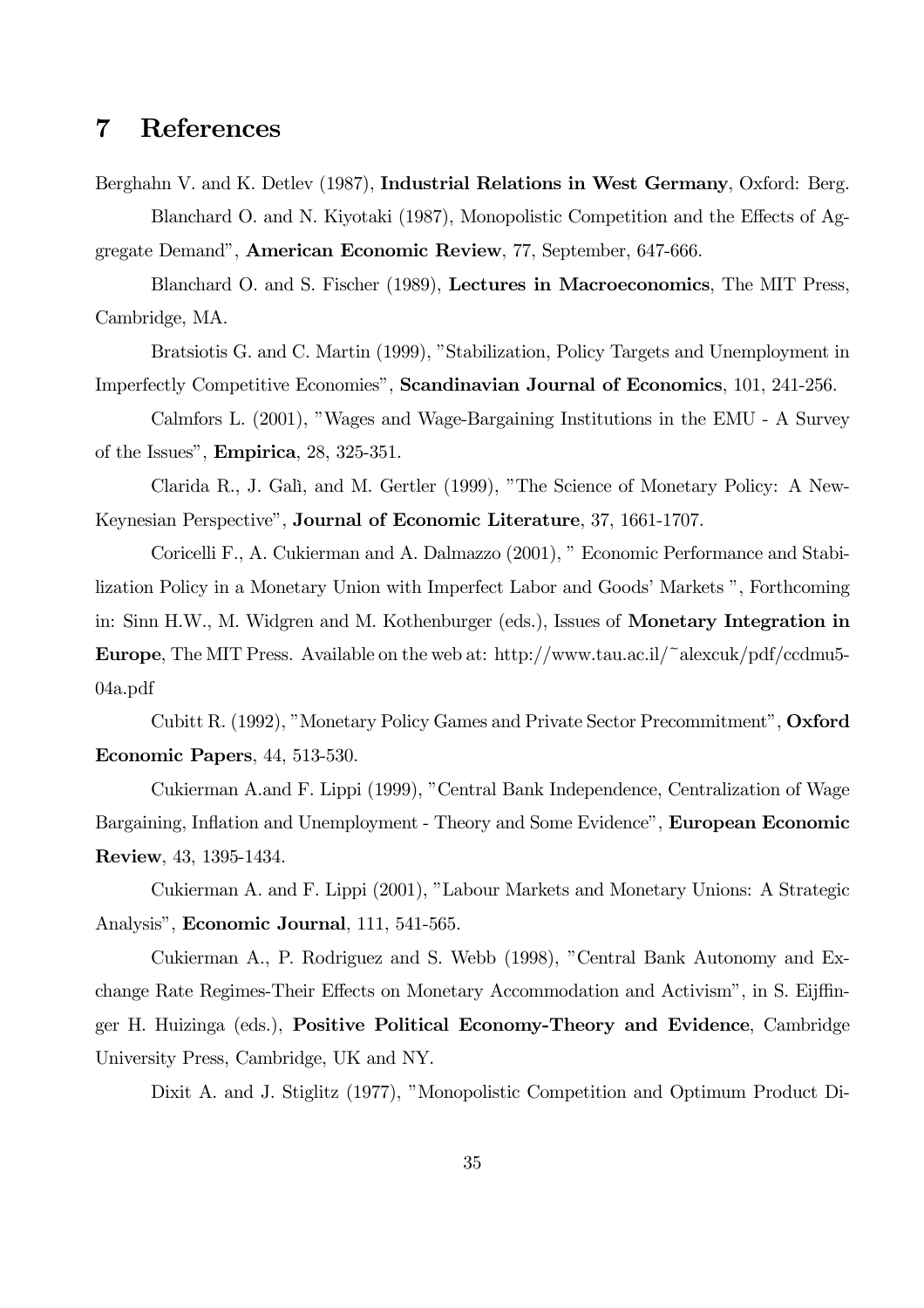## 7 References

Berghahn V. and K. Detlev (1987), Industrial Relations in West Germany, Oxford: Berg. Blanchard O. and N. Kiyotaki (1987), Monopolistic Competition and the Effects of Aggregate Demand", American Economic Review, 77, September, 647-666.

Blanchard O. and S. Fischer (1989), Lectures in Macroeconomics, The MIT Press, Cambridge, MA.

Bratsiotis G. and C. Martin (1999), "Stabilization, Policy Targets and Unemployment in Imperfectly Competitive Economies", Scandinavian Journal of Economics, 101, 241-256.

Calmfors L. (2001), "Wages and Wage-Bargaining Institutions in the EMU - A Survey of the Issues", Empirica, 28, 325-351.

Clarida R., J. Galì, and M. Gertler (1999), "The Science of Monetary Policy: A New-Keynesian Perspective", Journal of Economic Literature, 37, 1661-1707.

Coricelli F., A. Cukierman and A. Dalmazzo (2001), " Economic Performance and Stabilization Policy in a Monetary Union with Imperfect Labor and Goods' Markets ", Forthcoming in: Sinn H.W., M. Widgren and M. Kothenburger (eds.), Issues of Monetary Integration in Europe, The MIT Press. Available on the web at: http://www.tau.ac.il/~alexcuk/pdf/ccdmu5- 04a.pdf

Cubitt R. (1992), "Monetary Policy Games and Private Sector Precommitment", Oxford Economic Papers, 44, 513-530.

Cukierman A.and F. Lippi (1999), "Central Bank Independence, Centralization of Wage Bargaining, Inflation and Unemployment - Theory and Some Evidence", European Economic Review, 43, 1395-1434.

Cukierman A. and F. Lippi (2001), "Labour Markets and Monetary Unions: A Strategic Analysis", Economic Journal, 111, 541-565.

Cukierman A., P. Rodriguez and S. Webb (1998), "Central Bank Autonomy and Exchange Rate Regimes-Their Effects on Monetary Accommodation and Activism", in S. Eijffinger H. Huizinga (eds.), Positive Political Economy-Theory and Evidence, Cambridge University Press, Cambridge, UK and NY.

Dixit A. and J. Stiglitz (1977), "Monopolistic Competition and Optimum Product Di-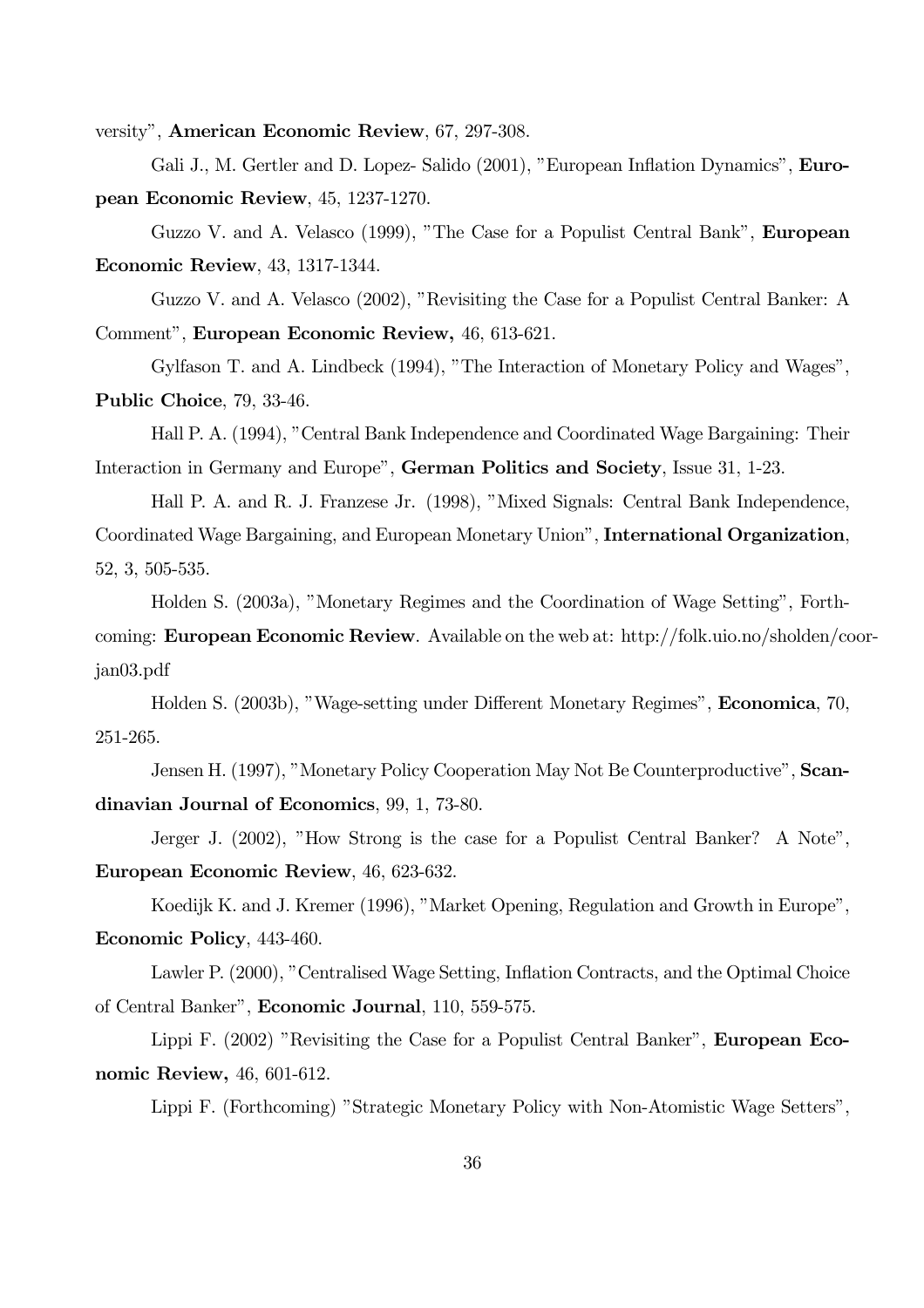versity", American Economic Review, 67, 297-308.

Gali J., M. Gertler and D. Lopez- Salido (2001), "European Inflation Dynamics", **Euro**pean Economic Review, 45, 1237-1270.

Guzzo V. and A. Velasco (1999), "The Case for a Populist Central Bank", European Economic Review, 43, 1317-1344.

Guzzo V. and A. Velasco (2002), "Revisiting the Case for a Populist Central Banker: A Comment", European Economic Review, 46, 613-621.

Gylfason T. and A. Lindbeck (1994), "The Interaction of Monetary Policy and Wages", Public Choice, 79, 33-46.

Hall P. A. (1994), "Central Bank Independence and Coordinated Wage Bargaining: Their Interaction in Germany and Europe", German Politics and Society, Issue 31, 1-23.

Hall P. A. and R. J. Franzese Jr. (1998), "Mixed Signals: Central Bank Independence, Coordinated Wage Bargaining, and European Monetary Union", International Organization, 52, 3, 505-535.

Holden S. (2003a), "Monetary Regimes and the Coordination of Wage Setting", Forthcoming: European Economic Review. Available on the web at: http://folk.uio.no/sholden/coorjan03.pdf

Holden S. (2003b), "Wage-setting under Different Monetary Regimes", Economica, 70, 251-265.

Jensen H. (1997), "Monetary Policy Cooperation May Not Be Counterproductive", Scandinavian Journal of Economics, 99, 1, 73-80.

Jerger J. (2002), "How Strong is the case for a Populist Central Banker? A Note", European Economic Review, 46, 623-632.

Koedijk K. and J. Kremer (1996), "Market Opening, Regulation and Growth in Europe", Economic Policy, 443-460.

Lawler P. (2000), "Centralised Wage Setting, Inflation Contracts, and the Optimal Choice of Central Banker", Economic Journal, 110, 559-575.

Lippi F. (2002) "Revisiting the Case for a Populist Central Banker", **European Eco**nomic Review, 46, 601-612.

Lippi F. (Forthcoming) "Strategic Monetary Policy with Non-Atomistic Wage Setters",